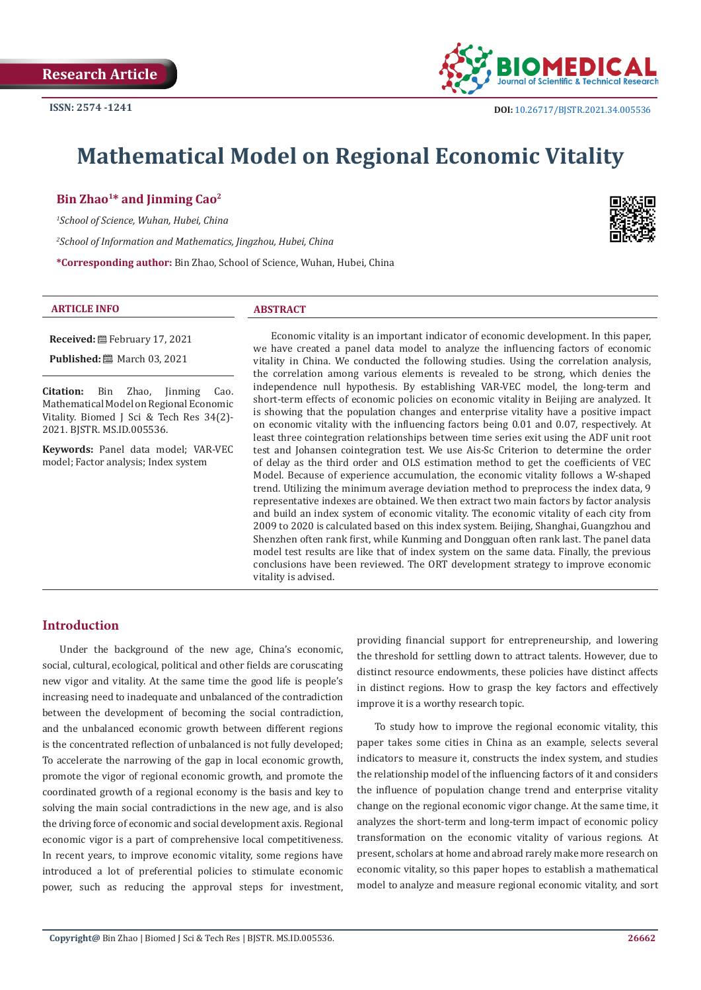**Research Article**



# **Mathematical Model on Regional Economic Vitality**

# **Bin Zhao1\* and Jinming Cao2**

*1 School of Science, Wuhan, Hubei, China 2 School of Information and Mathematics, Jingzhou, Hubei, China* **\*Corresponding author:** Bin Zhao, School of Science, Wuhan, Hubei, China

#### **ARTICLE INFO ABSTRACT**

**Received:** February 17, 2021

**Published:** ■ March 03, 2021

**Citation:** Bin Zhao, Jinming Cao. Mathematical Model on Regional Economic Vitality. Biomed J Sci & Tech Res 34(2)- 2021. BJSTR. MS.ID.005536.

**Keywords:** Panel data model; VAR-VEC model; Factor analysis; Index system

Economic vitality is an important indicator of economic development. In this paper, we have created a panel data model to analyze the influencing factors of economic vitality in China. We conducted the following studies. Using the correlation analysis, the correlation among various elements is revealed to be strong, which denies the independence null hypothesis. By establishing VAR-VEC model, the long-term and short-term effects of economic policies on economic vitality in Beijing are analyzed. It is showing that the population changes and enterprise vitality have a positive impact on economic vitality with the influencing factors being 0.01 and 0.07, respectively. At least three cointegration relationships between time series exit using the ADF unit root test and Johansen cointegration test. We use Ais-Sc Criterion to determine the order of delay as the third order and OLS estimation method to get the coefficients of VEC Model. Because of experience accumulation, the economic vitality follows a W-shaped trend. Utilizing the minimum average deviation method to preprocess the index data, 9 representative indexes are obtained. We then extract two main factors by factor analysis and build an index system of economic vitality. The economic vitality of each city from 2009 to 2020 is calculated based on this index system. Beijing, Shanghai, Guangzhou and Shenzhen often rank first, while Kunming and Dongguan often rank last. The panel data model test results are like that of index system on the same data. Finally, the previous conclusions have been reviewed. The ORT development strategy to improve economic vitality is advised.

# **Introduction**

Under the background of the new age, China's economic, social, cultural, ecological, political and other fields are coruscating new vigor and vitality. At the same time the good life is people's increasing need to inadequate and unbalanced of the contradiction between the development of becoming the social contradiction, and the unbalanced economic growth between different regions is the concentrated reflection of unbalanced is not fully developed; To accelerate the narrowing of the gap in local economic growth, promote the vigor of regional economic growth, and promote the coordinated growth of a regional economy is the basis and key to solving the main social contradictions in the new age, and is also the driving force of economic and social development axis. Regional economic vigor is a part of comprehensive local competitiveness. In recent years, to improve economic vitality, some regions have introduced a lot of preferential policies to stimulate economic power, such as reducing the approval steps for investment,

providing financial support for entrepreneurship, and lowering the threshold for settling down to attract talents. However, due to distinct resource endowments, these policies have distinct affects in distinct regions. How to grasp the key factors and effectively improve it is a worthy research topic.

To study how to improve the regional economic vitality, this paper takes some cities in China as an example, selects several indicators to measure it, constructs the index system, and studies the relationship model of the influencing factors of it and considers the influence of population change trend and enterprise vitality change on the regional economic vigor change. At the same time, it analyzes the short-term and long-term impact of economic policy transformation on the economic vitality of various regions. At present, scholars at home and abroad rarely make more research on economic vitality, so this paper hopes to establish a mathematical model to analyze and measure regional economic vitality, and sort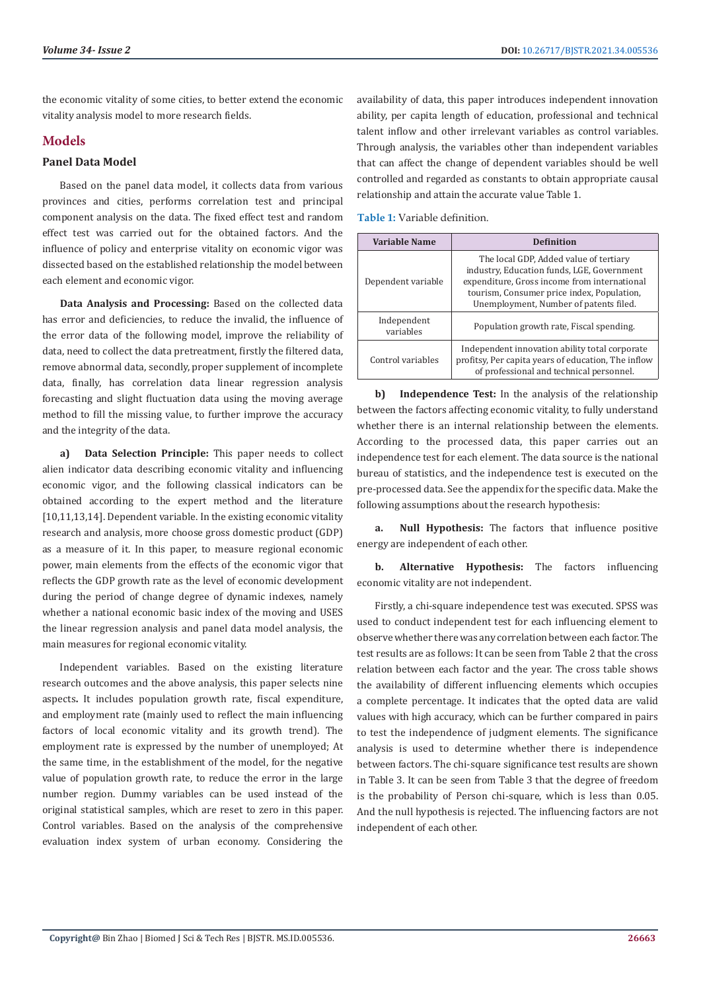the economic vitality of some cities, to better extend the economic vitality analysis model to more research fields.

# **Models**

# **Panel Data Model**

Based on the panel data model, it collects data from various provinces and cities, performs correlation test and principal component analysis on the data. The fixed effect test and random effect test was carried out for the obtained factors. And the influence of policy and enterprise vitality on economic vigor was dissected based on the established relationship the model between each element and economic vigor.

**Data Analysis and Processing:** Based on the collected data has error and deficiencies, to reduce the invalid, the influence of the error data of the following model, improve the reliability of data, need to collect the data pretreatment, firstly the filtered data, remove abnormal data, secondly, proper supplement of incomplete data, finally, has correlation data linear regression analysis forecasting and slight fluctuation data using the moving average method to fill the missing value, to further improve the accuracy and the integrity of the data.

**a) Data Selection Principle:** This paper needs to collect alien indicator data describing economic vitality and influencing economic vigor, and the following classical indicators can be obtained according to the expert method and the literature [10,11,13,14]. Dependent variable. In the existing economic vitality research and analysis, more choose gross domestic product (GDP) as a measure of it. In this paper, to measure regional economic power, main elements from the effects of the economic vigor that reflects the GDP growth rate as the level of economic development during the period of change degree of dynamic indexes, namely whether a national economic basic index of the moving and USES the linear regression analysis and panel data model analysis, the main measures for regional economic vitality.

Independent variables. Based on the existing literature research outcomes and the above analysis, this paper selects nine aspects**.** It includes population growth rate, fiscal expenditure, and employment rate (mainly used to reflect the main influencing factors of local economic vitality and its growth trend). The employment rate is expressed by the number of unemployed; At the same time, in the establishment of the model, for the negative value of population growth rate, to reduce the error in the large number region. Dummy variables can be used instead of the original statistical samples, which are reset to zero in this paper. Control variables. Based on the analysis of the comprehensive evaluation index system of urban economy. Considering the

availability of data, this paper introduces independent innovation ability, per capita length of education, professional and technical talent inflow and other irrelevant variables as control variables. Through analysis, the variables other than independent variables that can affect the change of dependent variables should be well controlled and regarded as constants to obtain appropriate causal relationship and attain the accurate value Table 1.

**Table 1:** Variable definition.

| Variable Name            | <b>Definition</b>                                                                                                                                                                                                            |
|--------------------------|------------------------------------------------------------------------------------------------------------------------------------------------------------------------------------------------------------------------------|
| Dependent variable       | The local GDP, Added value of tertiary<br>industry, Education funds, LGE, Government<br>expenditure, Gross income from international<br>tourism, Consumer price index, Population,<br>Unemployment, Number of patents filed. |
| Independent<br>variables | Population growth rate, Fiscal spending.                                                                                                                                                                                     |
| Control variables        | Independent innovation ability total corporate<br>profitsy, Per capita years of education, The inflow<br>of professional and technical personnel.                                                                            |

**b) Independence Test:** In the analysis of the relationship between the factors affecting economic vitality, to fully understand whether there is an internal relationship between the elements. According to the processed data, this paper carries out an independence test for each element. The data source is the national bureau of statistics, and the independence test is executed on the pre-processed data. See the appendix for the specific data. Make the following assumptions about the research hypothesis:

**a. Null Hypothesis:** The factors that influence positive energy are independent of each other.

**b. Alternative Hypothesis:** The factors influencing economic vitality are not independent.

Firstly, a chi-square independence test was executed. SPSS was used to conduct independent test for each influencing element to observe whether there was any correlation between each factor. The test results are as follows: It can be seen from Table 2 that the cross relation between each factor and the year. The cross table shows the availability of different influencing elements which occupies a complete percentage. It indicates that the opted data are valid values with high accuracy, which can be further compared in pairs to test the independence of judgment elements. The significance analysis is used to determine whether there is independence between factors. The chi-square significance test results are shown in Table 3. It can be seen from Table 3 that the degree of freedom is the probability of Person chi-square, which is less than 0.05. And the null hypothesis is rejected. The influencing factors are not independent of each other.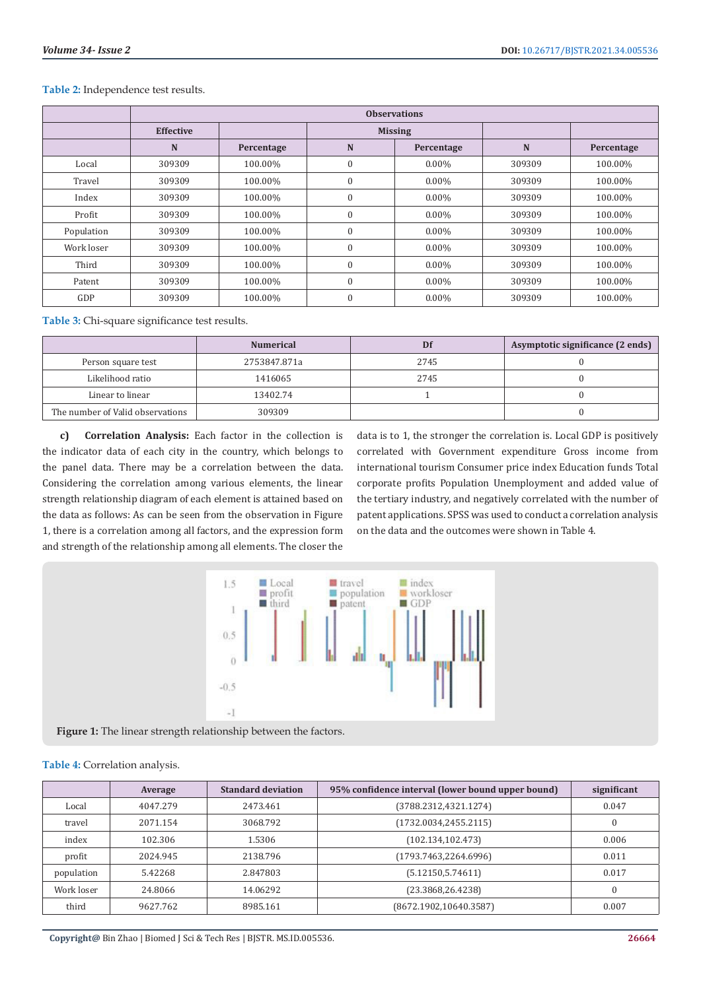|            | <b>Observations</b> |            |              |                |        |            |
|------------|---------------------|------------|--------------|----------------|--------|------------|
|            | <b>Effective</b>    |            |              | <b>Missing</b> |        |            |
|            | N                   | Percentage | N            | Percentage     | N      | Percentage |
| Local      | 309309              | 100.00%    | $\mathbf{0}$ | $0.00\%$       | 309309 | 100.00%    |
| Travel     | 309309              | 100.00%    | $\mathbf{0}$ | $0.00\%$       | 309309 | 100.00%    |
| Index      | 309309              | 100.00%    | $\mathbf{0}$ | $0.00\%$       | 309309 | 100.00%    |
| Profit     | 309309              | 100.00%    | $\theta$     | $0.00\%$       | 309309 | 100.00%    |
| Population | 309309              | 100.00%    | $\theta$     | $0.00\%$       | 309309 | 100.00%    |
| Work loser | 309309              | 100.00%    | $\theta$     | $0.00\%$       | 309309 | 100.00%    |
| Third      | 309309              | 100.00%    | $\mathbf{0}$ | $0.00\%$       | 309309 | 100.00%    |
| Patent     | 309309              | 100.00%    | $\mathbf{0}$ | $0.00\%$       | 309309 | 100.00%    |
| GDP        | 309309              | 100.00%    | $\mathbf{0}$ | $0.00\%$       | 309309 | 100.00%    |

#### **Table 2:** Independence test results.

**Table 3:** Chi-square significance test results.

|                                  | <b>Numerical</b> | Df   | Asymptotic significance (2 ends) |
|----------------------------------|------------------|------|----------------------------------|
| Person square test               | 2753847.871a     | 2745 |                                  |
| Likelihood ratio                 | 1416065          | 2745 |                                  |
| Linear to linear                 | 13402.74         |      |                                  |
| The number of Valid observations | 309309           |      |                                  |

**c) Correlation Analysis:** Each factor in the collection is the indicator data of each city in the country, which belongs to the panel data. There may be a correlation between the data. Considering the correlation among various elements, the linear strength relationship diagram of each element is attained based on the data as follows: As can be seen from the observation in Figure 1, there is a correlation among all factors, and the expression form and strength of the relationship among all elements. The closer the

data is to 1, the stronger the correlation is. Local GDP is positively correlated with Government expenditure Gross income from international tourism Consumer price index Education funds Total corporate profits Population Unemployment and added value of the tertiary industry, and negatively correlated with the number of patent applications. SPSS was used to conduct a correlation analysis on the data and the outcomes were shown in Table 4.



**Figure 1:** The linear strength relationship between the factors.

### **Table 4:** Correlation analysis.

|            | Average  | <b>Standard deviation</b> | 95% confidence interval (lower bound upper bound) | significant |
|------------|----------|---------------------------|---------------------------------------------------|-------------|
| Local      | 4047.279 | 2473.461                  | (3788.2312, 4321.1274)                            | 0.047       |
| travel     | 2071.154 | 3068.792                  | (1732.0034.2455.2115)                             | $\theta$    |
| index      | 102.306  | 1.5306                    | (102.134.102.473)                                 | 0.006       |
| profit     | 2024.945 | 2138.796                  | (1793.7463, 2264.6996)                            | 0.011       |
| population | 5.42268  | 2.847803                  | (5.12150.5.74611)                                 | 0.017       |
| Work loser | 24.8066  | 14.06292                  | (23.3868, 26.4238)                                | $\Omega$    |
| third      | 9627.762 | 8985.161                  | (8672.1902, 10640.3587)                           | 0.007       |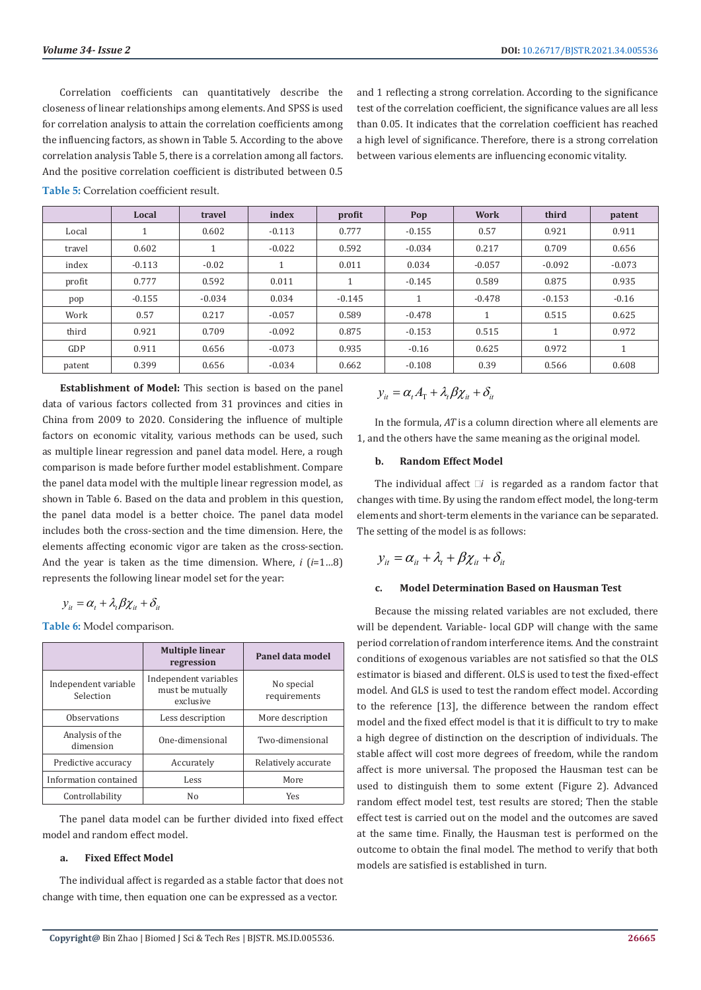Correlation coefficients can quantitatively describe the closeness of linear relationships among elements. And SPSS is used for correlation analysis to attain the correlation coefficients among the influencing factors, as shown in Table 5. According to the above correlation analysis Table 5, there is a correlation among all factors. And the positive correlation coefficient is distributed between 0.5

and 1 reflecting a strong correlation. According to the significance test of the correlation coefficient, the significance values are all less than 0.05. It indicates that the correlation coefficient has reached a high level of significance. Therefore, there is a strong correlation between various elements are influencing economic vitality.

|        | Local    | travel   | index    | profit   | Pop      | <b>Work</b> | third    | patent               |
|--------|----------|----------|----------|----------|----------|-------------|----------|----------------------|
| Local  |          | 0.602    | $-0.113$ | 0.777    | $-0.155$ | 0.57        | 0.921    | 0.911                |
| travel | 0.602    |          | $-0.022$ | 0.592    | $-0.034$ | 0.217       | 0.709    | 0.656                |
| index  | $-0.113$ | $-0.02$  |          | 0.011    | 0.034    | $-0.057$    | $-0.092$ | $-0.073$             |
| profit | 0.777    | 0.592    | 0.011    |          | $-0.145$ | 0.589       | 0.875    | 0.935                |
| pop    | $-0.155$ | $-0.034$ | 0.034    | $-0.145$ |          | $-0.478$    | $-0.153$ | $-0.16$              |
| Work   | 0.57     | 0.217    | $-0.057$ | 0.589    | $-0.478$ |             | 0.515    | 0.625                |
| third  | 0.921    | 0.709    | $-0.092$ | 0.875    | $-0.153$ | 0.515       |          | 0.972                |
| GDP    | 0.911    | 0.656    | $-0.073$ | 0.935    | $-0.16$  | 0.625       | 0.972    | $\blacktriangleleft$ |
| patent | 0.399    | 0.656    | $-0.034$ | 0.662    | $-0.108$ | 0.39        | 0.566    | 0.608                |

**Table 5:** Correlation coefficient result.

**Establishment of Model:** This section is based on the panel data of various factors collected from 31 provinces and cities in China from 2009 to 2020. Considering the influence of multiple factors on economic vitality, various methods can be used, such as multiple linear regression and panel data model. Here, a rough comparison is made before further model establishment. Compare the panel data model with the multiple linear regression model, as shown in Table 6. Based on the data and problem in this question, the panel data model is a better choice. The panel data model includes both the cross-section and the time dimension. Here, the elements affecting economic vigor are taken as the cross-section. And the year is taken as the time dimension. Where, *i* (*i*=1…8) represents the following linear model set for the year:

$$
y_{it} = \alpha_t + \lambda_t \beta \chi_{it} + \delta_{it}
$$

**Table 6:** Model comparison.

|                                   | <b>Multiple linear</b><br>regression                   | Panel data model           |
|-----------------------------------|--------------------------------------------------------|----------------------------|
| Independent variable<br>Selection | Independent variables<br>must be mutually<br>exclusive | No special<br>requirements |
| Observations                      | Less description                                       | More description           |
| Analysis of the<br>dimension      | One-dimensional                                        | Two-dimensional            |
| Predictive accuracy               | Accurately                                             | Relatively accurate        |
| Information contained             | Less                                                   | More                       |
| Controllability                   | No                                                     | <b>Yes</b>                 |

The panel data model can be further divided into fixed effect model and random effect model.

#### **a. Fixed Effect Model**

The individual affect is regarded as a stable factor that does not change with time, then equation one can be expressed as a vector.

$$
y_{it} = \alpha_t A_{\rm T} + \lambda_t \beta \chi_{it} + \delta_{it}
$$

In the formula, *AT* is a column direction where all elements are 1, and the others have the same meaning as the original model.

### **b. Random Effect Model**

The individual affect  $\Box i$  is regarded as a random factor that changes with time. By using the random effect model, the long-term elements and short-term elements in the variance can be separated. The setting of the model is as follows:

$$
y_{it} = \alpha_{it} + \lambda_t + \beta \chi_{it} + \delta_{it}
$$

# **c. Model Determination Based on Hausman Test**

Because the missing related variables are not excluded, there will be dependent. Variable- local GDP will change with the same period correlation of random interference items. And the constraint conditions of exogenous variables are not satisfied so that the OLS estimator is biased and different. OLS is used to test the fixed-effect model. And GLS is used to test the random effect model. According to the reference [13], the difference between the random effect model and the fixed effect model is that it is difficult to try to make a high degree of distinction on the description of individuals. The stable affect will cost more degrees of freedom, while the random affect is more universal. The proposed the Hausman test can be used to distinguish them to some extent (Figure 2). Advanced random effect model test, test results are stored; Then the stable effect test is carried out on the model and the outcomes are saved at the same time. Finally, the Hausman test is performed on the outcome to obtain the final model. The method to verify that both models are satisfied is established in turn.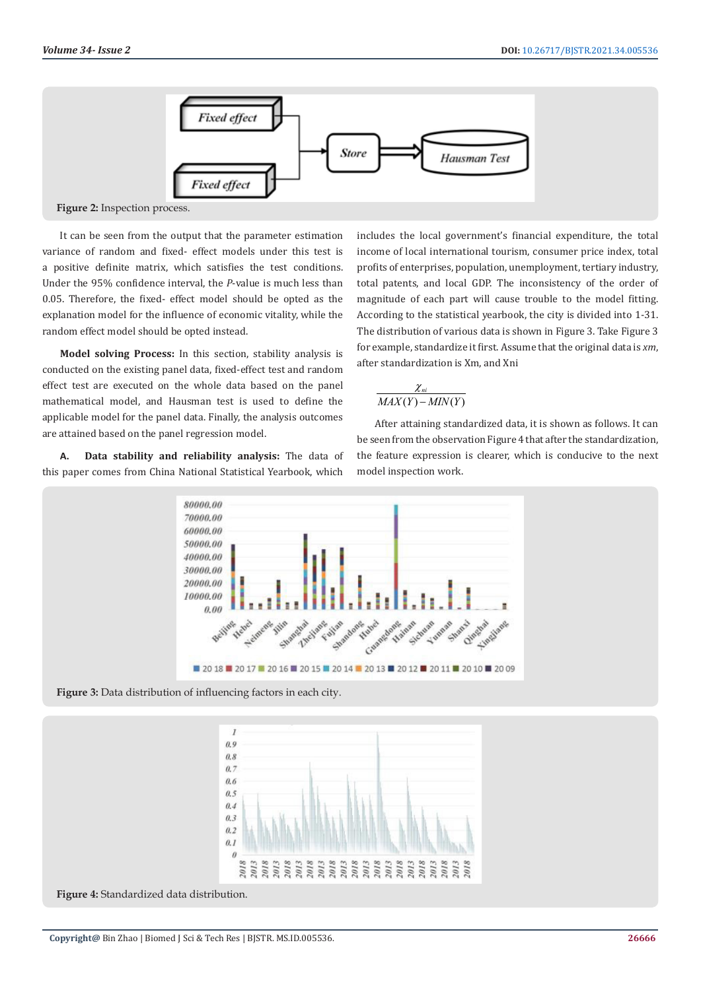

**Figure 2:** Inspection process.

It can be seen from the output that the parameter estimation variance of random and fixed- effect models under this test is a positive definite matrix, which satisfies the test conditions. Under the 95% confidence interval, the *P*-value is much less than 0.05. Therefore, the fixed- effect model should be opted as the explanation model for the influence of economic vitality, while the random effect model should be opted instead.

**Model solving Process:** In this section, stability analysis is conducted on the existing panel data, fixed-effect test and random effect test are executed on the whole data based on the panel mathematical model, and Hausman test is used to define the applicable model for the panel data. Finally, the analysis outcomes are attained based on the panel regression model.

**A. Data stability and reliability analysis:** The data of this paper comes from China National Statistical Yearbook, which

includes the local government's financial expenditure, the total income of local international tourism, consumer price index, total profits of enterprises, population, unemployment, tertiary industry, total patents, and local GDP. The inconsistency of the order of magnitude of each part will cause trouble to the model fitting. According to the statistical yearbook, the city is divided into 1-31. The distribution of various data is shown in Figure 3. Take Figure 3 for example, standardize it first. Assume that the original data is *xm*, after standardization is Xm, and Xni

$$
\frac{\chi_{ni}}{MAX(Y) - MIN(Y)}
$$

After attaining standardized data, it is shown as follows. It can be seen from the observation Figure 4 that after the standardization, the feature expression is clearer, which is conducive to the next model inspection work.



**Figure 3:** Data distribution of influencing factors in each city.



**Figure 4:** Standardized data distribution.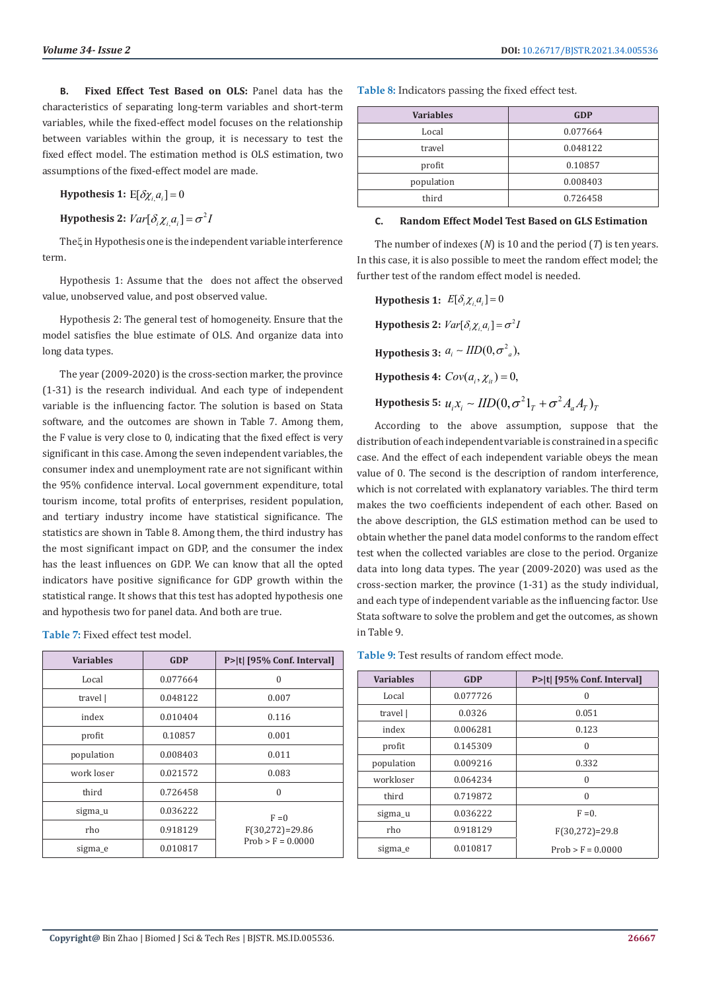**B. Fixed Effect Test Based on OLS:** Panel data has the characteristics of separating long-term variables and short-term variables, while the fixed-effect model focuses on the relationship between variables within the group, it is necessary to test the fixed effect model. The estimation method is OLS estimation, two assumptions of the fixed-effect model are made.

**Hypothesis 1:**  $E[\delta \chi_i a_i] = 0$ 

**Hypothesis 2:**  $Var[\delta_i \chi_i, a_i] = \sigma^2 I$ 

Theξ in Hypothesis one is the independent variable interference term.

Hypothesis 1: Assume that the does not affect the observed value, unobserved value, and post observed value.

Hypothesis 2: The general test of homogeneity. Ensure that the model satisfies the blue estimate of OLS. And organize data into long data types.

The year (2009-2020) is the cross-section marker, the province (1-31) is the research individual. And each type of independent variable is the influencing factor. The solution is based on Stata software, and the outcomes are shown in Table 7. Among them, the F value is very close to 0, indicating that the fixed effect is very significant in this case. Among the seven independent variables, the consumer index and unemployment rate are not significant within the 95% confidence interval. Local government expenditure, total tourism income, total profits of enterprises, resident population, and tertiary industry income have statistical significance. The statistics are shown in Table 8. Among them, the third industry has the most significant impact on GDP, and the consumer the index has the least influences on GDP. We can know that all the opted indicators have positive significance for GDP growth within the statistical range. It shows that this test has adopted hypothesis one and hypothesis two for panel data. And both are true.

**Table 7:** Fixed effect test model.

| <b>Variables</b> | <b>GDP</b> | P> t  [95% Conf. Interval] |
|------------------|------------|----------------------------|
| Local            | 0.077664   | $\Omega$                   |
| travel           | 0.048122   | 0.007                      |
| index            | 0.010404   | 0.116                      |
| profit           | 0.10857    | 0.001                      |
| population       | 0.008403   | 0.011                      |
| work loser       | 0.021572   | 0.083                      |
| third            | 0.726458   | $\theta$                   |
| sigma_u          | 0.036222   | $F = 0$                    |
| rho              | 0.918129   | $F(30,272) = 29.86$        |
| sigma_e          | 0.010817   | $Prob > F = 0.0000$        |

**Table 8:** Indicators passing the fixed effect test.

| <b>Variables</b> | <b>GDP</b> |
|------------------|------------|
| Local            | 0.077664   |
| travel           | 0.048122   |
| profit           | 0.10857    |
| population       | 0.008403   |
| third            | 0.726458   |

#### **C. Random Effect Model Test Based on GLS Estimation**

The number of indexes (*N*) is 10 and the period (*T*) is ten years. In this case, it is also possible to meet the random effect model; the further test of the random effect model is needed.

**Hypothesis 1:**  $E[\delta_i \chi_i a_i] = 0$ **Hypothesis 2:**  $Var[\delta_i \chi_{i,a_i}] = \sigma^2 I$ **Hypothesis 3:**  $a_i \sim \text{IID}(0, \sigma^2)$ , **Hypothesis 4:**  $Cov(a_i, \chi_{ii}) = 0$ , **Hypothesis 5:**  $u_i x_i \sim \text{IID}(0, \sigma^2 1_\tau + \sigma^2 A_a A_\tau)_\tau$ 

According to the above assumption, suppose that the distribution of each independent variable is constrained in a specific case. And the effect of each independent variable obeys the mean value of 0. The second is the description of random interference, which is not correlated with explanatory variables. The third term makes the two coefficients independent of each other. Based on the above description, the GLS estimation method can be used to obtain whether the panel data model conforms to the random effect test when the collected variables are close to the period. Organize data into long data types. The year (2009-2020) was used as the cross-section marker, the province (1-31) as the study individual, and each type of independent variable as the influencing factor. Use Stata software to solve the problem and get the outcomes, as shown in Table 9.

**Table 9:** Test results of random effect mode.

| <b>Variables</b> | <b>GDP</b> | P> t  [95% Conf. Interval] |
|------------------|------------|----------------------------|
| Local            | 0.077726   | 0                          |
| travel           | 0.0326     | 0.051                      |
| index            | 0.006281   | 0.123                      |
| profit           | 0.145309   | $\Omega$                   |
| population       | 0.009216   | 0.332                      |
| workloser        | 0.064234   | $\Omega$                   |
| third            | 0.719872   | $\Omega$                   |
| sigma_u          | 0.036222   | $F = 0$ .                  |
| rho              | 0.918129   | $F(30,272)=29.8$           |
| sigma e          | 0.010817   | $Prob > F = 0.0000$        |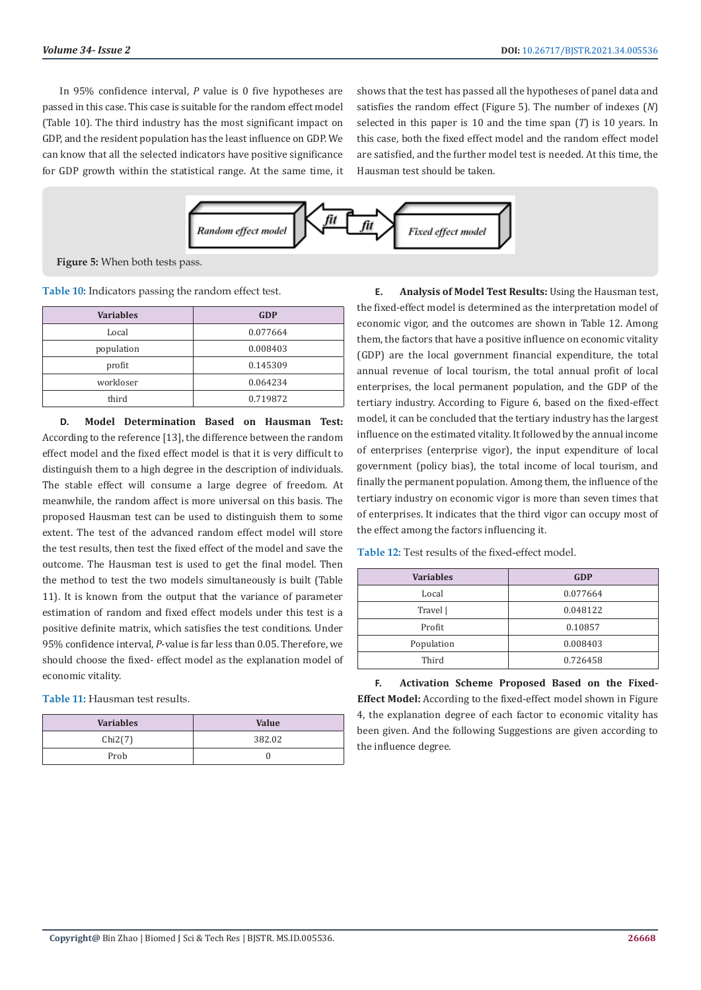In 95% confidence interval, *P* value is 0 five hypotheses are passed in this case. This case is suitable for the random effect model (Table 10). The third industry has the most significant impact on GDP, and the resident population has the least influence on GDP. We can know that all the selected indicators have positive significance for GDP growth within the statistical range. At the same time, it shows that the test has passed all the hypotheses of panel data and satisfies the random effect (Figure 5). The number of indexes (*N*) selected in this paper is 10 and the time span (*T*) is 10 years. In this case, both the fixed effect model and the random effect model are satisfied, and the further model test is needed. At this time, the Hausman test should be taken.



**Figure 5:** When both tests pass.

**Table 10:** Indicators passing the random effect test.

| <b>Variables</b> | <b>GDP</b> |
|------------------|------------|
| Local            | 0.077664   |
| population       | 0.008403   |
| profit           | 0.145309   |
| workloser        | 0.064234   |
| third            | 0.719872   |

**D. Model Determination Based on Hausman Test:**  According to the reference [13], the difference between the random effect model and the fixed effect model is that it is very difficult to distinguish them to a high degree in the description of individuals. The stable effect will consume a large degree of freedom. At meanwhile, the random affect is more universal on this basis. The proposed Hausman test can be used to distinguish them to some extent. The test of the advanced random effect model will store the test results, then test the fixed effect of the model and save the outcome. The Hausman test is used to get the final model. Then the method to test the two models simultaneously is built (Table 11). It is known from the output that the variance of parameter estimation of random and fixed effect models under this test is a positive definite matrix, which satisfies the test conditions. Under 95% confidence interval, *P*-value is far less than 0.05. Therefore, we should choose the fixed- effect model as the explanation model of economic vitality.

**Table 11:** Hausman test results.

| <b>Variables</b> | Value  |
|------------------|--------|
| Chi2(7)          | 382.02 |
| Prob             |        |

**E. Analysis of Model Test Results:** Using the Hausman test, the fixed-effect model is determined as the interpretation model of economic vigor, and the outcomes are shown in Table 12. Among them, the factors that have a positive influence on economic vitality (GDP) are the local government financial expenditure, the total annual revenue of local tourism, the total annual profit of local enterprises, the local permanent population, and the GDP of the tertiary industry. According to Figure 6, based on the fixed-effect model, it can be concluded that the tertiary industry has the largest influence on the estimated vitality. It followed by the annual income of enterprises (enterprise vigor), the input expenditure of local government (policy bias), the total income of local tourism, and finally the permanent population. Among them, the influence of the tertiary industry on economic vigor is more than seven times that of enterprises. It indicates that the third vigor can occupy most of the effect among the factors influencing it.

| <b>Variables</b> | <b>GDP</b> |
|------------------|------------|
| Local            | 0.077664   |
| Travel           | 0.048122   |
| Profit           | 0.10857    |
| Population       | 0.008403   |
| Third            | 0.726458   |

**Table 12:** Test results of the fixed-effect model.

**F. Activation Scheme Proposed Based on the Fixed-Effect Model:** According to the fixed-effect model shown in Figure 4, the explanation degree of each factor to economic vitality has been given. And the following Suggestions are given according to the influence degree.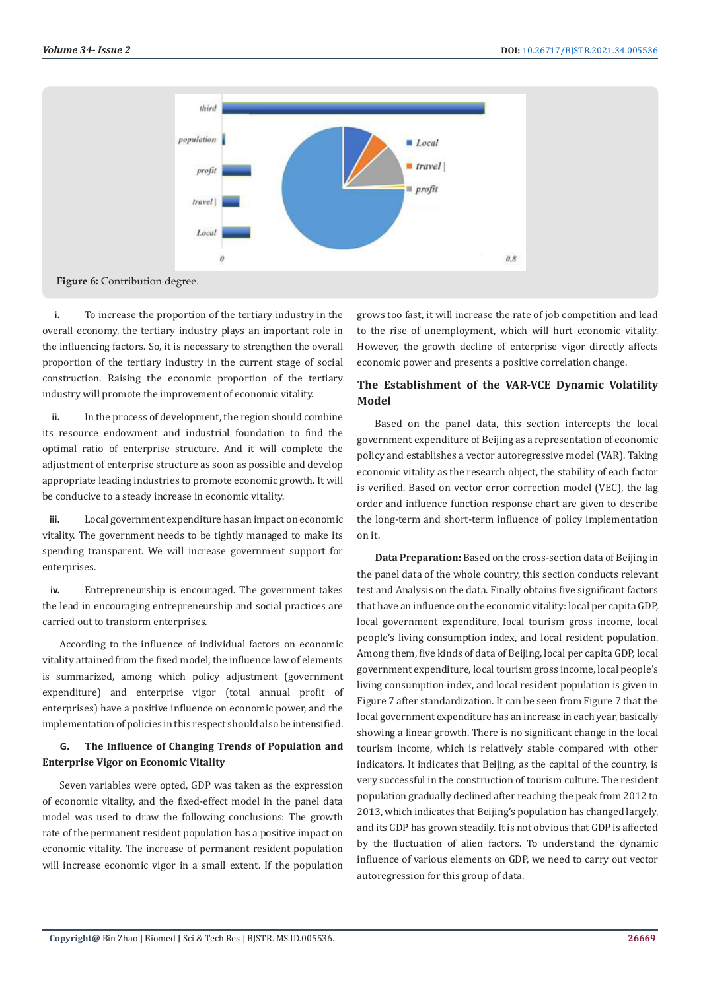

**i.** To increase the proportion of the tertiary industry in the overall economy, the tertiary industry plays an important role in the influencing factors. So, it is necessary to strengthen the overall proportion of the tertiary industry in the current stage of social construction. Raising the economic proportion of the tertiary industry will promote the improvement of economic vitality.

**ii.** In the process of development, the region should combine its resource endowment and industrial foundation to find the optimal ratio of enterprise structure. And it will complete the adjustment of enterprise structure as soon as possible and develop appropriate leading industries to promote economic growth. It will be conducive to a steady increase in economic vitality.

**iii.** Local government expenditure has an impact on economic vitality. The government needs to be tightly managed to make its spending transparent. We will increase government support for enterprises.

**iv.** Entrepreneurship is encouraged. The government takes the lead in encouraging entrepreneurship and social practices are carried out to transform enterprises.

According to the influence of individual factors on economic vitality attained from the fixed model, the influence law of elements is summarized, among which policy adjustment (government expenditure) and enterprise vigor (total annual profit of enterprises) have a positive influence on economic power, and the implementation of policies in this respect should also be intensified.

# **G. The Influence of Changing Trends of Population and Enterprise Vigor on Economic Vitality**

Seven variables were opted, GDP was taken as the expression of economic vitality, and the fixed-effect model in the panel data model was used to draw the following conclusions: The growth rate of the permanent resident population has a positive impact on economic vitality. The increase of permanent resident population will increase economic vigor in a small extent. If the population grows too fast, it will increase the rate of job competition and lead to the rise of unemployment, which will hurt economic vitality. However, the growth decline of enterprise vigor directly affects economic power and presents a positive correlation change.

# **The Establishment of the VAR-VCE Dynamic Volatility Model**

Based on the panel data, this section intercepts the local government expenditure of Beijing as a representation of economic policy and establishes a vector autoregressive model (VAR). Taking economic vitality as the research object, the stability of each factor is verified. Based on vector error correction model (VEC), the lag order and influence function response chart are given to describe the long-term and short-term influence of policy implementation on it.

**Data Preparation:** Based on the cross-section data of Beijing in the panel data of the whole country, this section conducts relevant test and Analysis on the data. Finally obtains five significant factors that have an influence on the economic vitality: local per capita GDP, local government expenditure, local tourism gross income, local people's living consumption index, and local resident population. Among them, five kinds of data of Beijing, local per capita GDP, local government expenditure, local tourism gross income, local people's living consumption index, and local resident population is given in Figure 7 after standardization. It can be seen from Figure 7 that the local government expenditure has an increase in each year, basically showing a linear growth. There is no significant change in the local tourism income, which is relatively stable compared with other indicators. It indicates that Beijing, as the capital of the country, is very successful in the construction of tourism culture. The resident population gradually declined after reaching the peak from 2012 to 2013, which indicates that Beijing's population has changed largely, and its GDP has grown steadily. It is not obvious that GDP is affected by the fluctuation of alien factors. To understand the dynamic influence of various elements on GDP, we need to carry out vector autoregression for this group of data.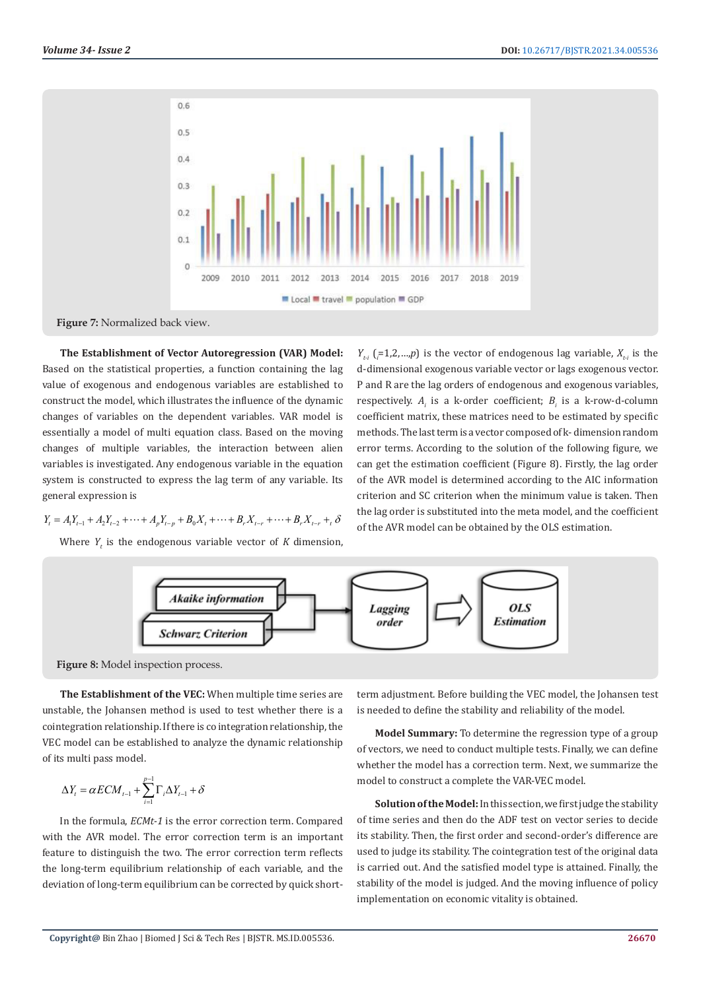



**The Establishment of Vector Autoregression (VAR) Model:**  Based on the statistical properties, a function containing the lag value of exogenous and endogenous variables are established to construct the model, which illustrates the influence of the dynamic changes of variables on the dependent variables. VAR model is essentially a model of multi equation class. Based on the moving changes of multiple variables, the interaction between alien variables is investigated. Any endogenous variable in the equation system is constructed to express the lag term of any variable. Its general expression is

$$
Y_{t} = A_{1}Y_{t-1} + A_{2}Y_{t-2} + \cdots + A_{p}Y_{t-p} + B_{0}X_{t} + \cdots + B_{r}X_{t-r} + \cdots + B_{r}X_{t-r} + \delta
$$

Where  $Y_t$  is the endogenous variable vector of  $K$  dimension,

 $Y_{t_i}$  ( $_i$ =1,2,...,*p*) is the vector of endogenous lag variable,  $X_{t_i}$  is the d-dimensional exogenous variable vector or lags exogenous vector. P and R are the lag orders of endogenous and exogenous variables, respectively. *A<sub>i</sub>* is a k-order coefficient; *B<sub>i</sub>* is a k-row-d-column coefficient matrix, these matrices need to be estimated by specific methods. The last term is a vector composed of k- dimension random error terms. According to the solution of the following figure, we can get the estimation coefficient (Figure 8). Firstly, the lag order of the AVR model is determined according to the AIC information criterion and SC criterion when the minimum value is taken. Then the lag order is substituted into the meta model, and the coefficient of the AVR model can be obtained by the OLS estimation.





**The Establishment of the VEC:** When multiple time series are unstable, the Johansen method is used to test whether there is a cointegration relationship. If there is co integration relationship, the VEC model can be established to analyze the dynamic relationship of its multi pass model.

$$
\Delta Y_t = \alpha ECM_{t-1} + \sum_{i=1}^{p-1} \Gamma_i \Delta Y_{t-1} + \delta
$$

In the formula, *ECMt-1* is the error correction term. Compared with the AVR model. The error correction term is an important feature to distinguish the two. The error correction term reflects the long-term equilibrium relationship of each variable, and the deviation of long-term equilibrium can be corrected by quick shortterm adjustment. Before building the VEC model, the Johansen test is needed to define the stability and reliability of the model.

**Model Summary:** To determine the regression type of a group of vectors, we need to conduct multiple tests. Finally, we can define whether the model has a correction term. Next, we summarize the model to construct a complete the VAR-VEC model.

**Solution of the Model:** In this section, we first judge the stability of time series and then do the ADF test on vector series to decide its stability. Then, the first order and second-order's difference are used to judge its stability. The cointegration test of the original data is carried out. And the satisfied model type is attained. Finally, the stability of the model is judged. And the moving influence of policy implementation on economic vitality is obtained.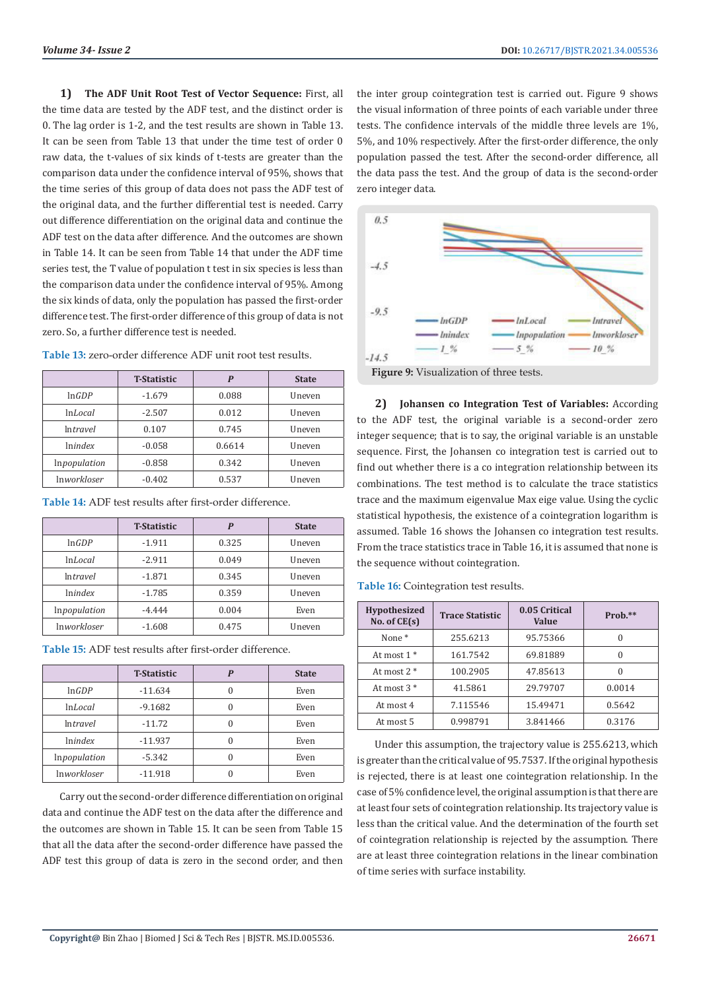**1) The ADF Unit Root Test of Vector Sequence:** First, all the time data are tested by the ADF test, and the distinct order is 0. The lag order is 1-2, and the test results are shown in Table 13. It can be seen from Table 13 that under the time test of order 0 raw data, the t-values of six kinds of t-tests are greater than the comparison data under the confidence interval of 95%, shows that the time series of this group of data does not pass the ADF test of the original data, and the further differential test is needed. Carry out difference differentiation on the original data and continue the ADF test on the data after difference. And the outcomes are shown in Table 14. It can be seen from Table 14 that under the ADF time series test, the T value of population t test in six species is less than the comparison data under the confidence interval of 95%. Among the six kinds of data, only the population has passed the first-order difference test. The first-order difference of this group of data is not zero. So, a further difference test is needed.

|                    | <b>T</b> -Statistic | P      | <b>State</b> |
|--------------------|---------------------|--------|--------------|
| lnGDP              | $-1.679$            | 0.088  | Uneven       |
| lnLocal            | $-2.507$            | 0.012  | Uneven       |
| <i>Intravel</i>    | 0.107               | 0.745  | Uneven       |
| <i>Inindex</i>     | $-0.058$            | 0.6614 | Uneven       |
| Inpopulation       | $-0.858$            | 0.342  | Uneven       |
| <i>Inworkloser</i> | $-0.402$            | 0.537  | Uneven       |

**Table 13:** zero-order difference ADF unit root test results.

|                    | <b>T</b> -Statistic | P     | <b>State</b> |
|--------------------|---------------------|-------|--------------|
| lnGDP              | $-1.911$            | 0.325 | Uneven       |
| lnLocal            | $-2.911$            | 0.049 | Uneven       |
| <i>Intravel</i>    | $-1.871$            | 0.345 | Uneven       |
| <i>Inindex</i>     | $-1.785$            | 0.359 | Uneven       |
| Inpopulation       | $-4.444$            | 0.004 | Even         |
| <i>Inworkloser</i> | $-1.608$            | 0.475 | Uneven       |

**Table 15:** ADF test results after first-order difference.

**Table 14:** ADF test results after first-order difference.

|                       | <b>T-Statistic</b> | P        | <b>State</b> |
|-----------------------|--------------------|----------|--------------|
| lnGDP                 | $-11.634$          |          | Even         |
| <i>InLocal</i>        | $-9.1682$          |          | Even         |
| <i>Intravel</i>       | $-11.72$           | $\theta$ | Even         |
| <i><u>Inindex</u></i> | $-11.937$          | 0        | Even         |
| Inpopulation          | $-5.342$           |          | Even         |
| <i>Inworkloser</i>    | $-11.918$          |          | Even         |

Carry out the second-order difference differentiation on original data and continue the ADF test on the data after the difference and the outcomes are shown in Table 15. It can be seen from Table 15 that all the data after the second-order difference have passed the ADF test this group of data is zero in the second order, and then

the inter group cointegration test is carried out. Figure 9 shows the visual information of three points of each variable under three tests. The confidence intervals of the middle three levels are 1%, 5%, and 10% respectively. After the first-order difference, the only population passed the test. After the second-order difference, all the data pass the test. And the group of data is the second-order zero integer data.



**2) Johansen co Integration Test of Variables:** According to the ADF test, the original variable is a second-order zero integer sequence; that is to say, the original variable is an unstable sequence. First, the Johansen co integration test is carried out to find out whether there is a co integration relationship between its combinations. The test method is to calculate the trace statistics trace and the maximum eigenvalue Max eige value. Using the cyclic statistical hypothesis, the existence of a cointegration logarithm is assumed. Table 16 shows the Johansen co integration test results. From the trace statistics trace in Table 16, it is assumed that none is the sequence without cointegration.

**Table 16:** Cointegration test results.

| <b>Hypothesized</b><br>No. of $CE(s)$ | <b>Trace Statistic</b> | 0.05 Critical<br>Value | $Prob.**$ |
|---------------------------------------|------------------------|------------------------|-----------|
| None <sup>*</sup>                     | 255.6213               | 95.75366               |           |
| At most $1*$                          | 161.7542               | 69.81889               |           |
| At most $2 *$                         | 100.2905               | 47.85613               |           |
| At most 3 *                           | 41.5861                | 29.79707               | 0.0014    |
| At most 4                             | 7.115546               | 15.49471               | 0.5642    |
| At most 5                             | 0.998791               | 3.841466               | 0.3176    |

Under this assumption, the trajectory value is 255.6213, which is greater than the critical value of 95.7537. If the original hypothesis is rejected, there is at least one cointegration relationship. In the case of 5% confidence level, the original assumption is that there are at least four sets of cointegration relationship. Its trajectory value is less than the critical value. And the determination of the fourth set of cointegration relationship is rejected by the assumption. There are at least three cointegration relations in the linear combination of time series with surface instability.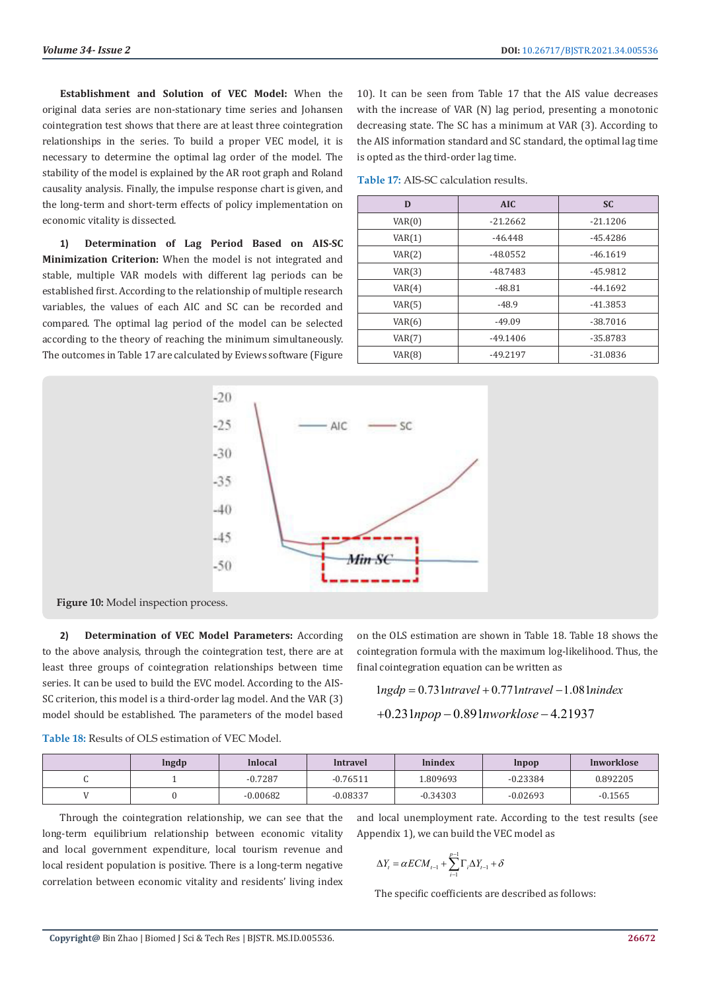**Establishment and Solution of VEC Model:** When the original data series are non-stationary time series and Johansen cointegration test shows that there are at least three cointegration relationships in the series. To build a proper VEC model, it is necessary to determine the optimal lag order of the model. The stability of the model is explained by the AR root graph and Roland causality analysis. Finally, the impulse response chart is given, and the long-term and short-term effects of policy implementation on economic vitality is dissected.

**1) Determination of Lag Period Based on AIS-SC Minimization Criterion:** When the model is not integrated and stable, multiple VAR models with different lag periods can be established first. According to the relationship of multiple research variables, the values of each AIC and SC can be recorded and compared. The optimal lag period of the model can be selected according to the theory of reaching the minimum simultaneously. The outcomes in Table 17 are calculated by Eviews software (Figure

10). It can be seen from Table 17 that the AIS value decreases with the increase of VAR (N) lag period, presenting a monotonic decreasing state. The SC has a minimum at VAR (3). According to the AIS information standard and SC standard, the optimal lag time is opted as the third-order lag time.

**Table 17:** AIS-SC calculation results.

| D      | <b>AIC</b> | <b>SC</b>  |
|--------|------------|------------|
| VAR(0) | $-21.2662$ | $-21.1206$ |
| VAR(1) | $-46.448$  | $-45.4286$ |
| VAR(2) | $-48.0552$ | $-46.1619$ |
| VAR(3) | $-48.7483$ | -45.9812   |
| VAR(4) | $-48.81$   | $-44.1692$ |
| VAR(5) | $-48.9$    | $-41.3853$ |
| VAR(6) | $-49.09$   | $-38.7016$ |
| VAR(7) | $-49.1406$ | -35.8783   |
| VAR(8) | $-49.2197$ | $-31.0836$ |



**Figure 10:** Model inspection process.

**2) Determination of VEC Model Parameters:** According to the above analysis, through the cointegration test, there are at least three groups of cointegration relationships between time series. It can be used to build the EVC model. According to the AIS-SC criterion, this model is a third-order lag model. And the VAR (3) model should be established. The parameters of the model based

on the OLS estimation are shown in Table 18. Table 18 shows the cointegration formula with the maximum log-likelihood. Thus, the final cointegration equation can be written as

 $1$ ngdp = 0.731 ntravel + 0.771 ntravel -1.081 nindex

$$
+0.231 \text{npop} - 0.891 \text{nworklose} - 4.21937
$$

**Table 18:** Results of OLS estimation of VEC Model.

| lngdp | <b>Inlocal</b> | Intravel   | <b>Inindex</b> | Inpop      | <b>Inworklose</b> |
|-------|----------------|------------|----------------|------------|-------------------|
|       | $-0.7287$      | $-0.76511$ | .809693        | $-0.23384$ | 0.892205          |
|       | $-0.00682$     | $-0.08337$ | $-0.34303$     | $-0.02693$ | $-0.1565$         |

Through the cointegration relationship, we can see that the long-term equilibrium relationship between economic vitality and local government expenditure, local tourism revenue and local resident population is positive. There is a long-term negative correlation between economic vitality and residents' living index

and local unemployment rate. According to the test results (see Appendix 1), we can build the VEC model as

$$
\Delta Y_t = \alpha ECM_{t-1} + \sum_{i=1}^{p-1} \Gamma_i \Delta Y_{t-1} + \delta
$$

The specific coefficients are described as follows: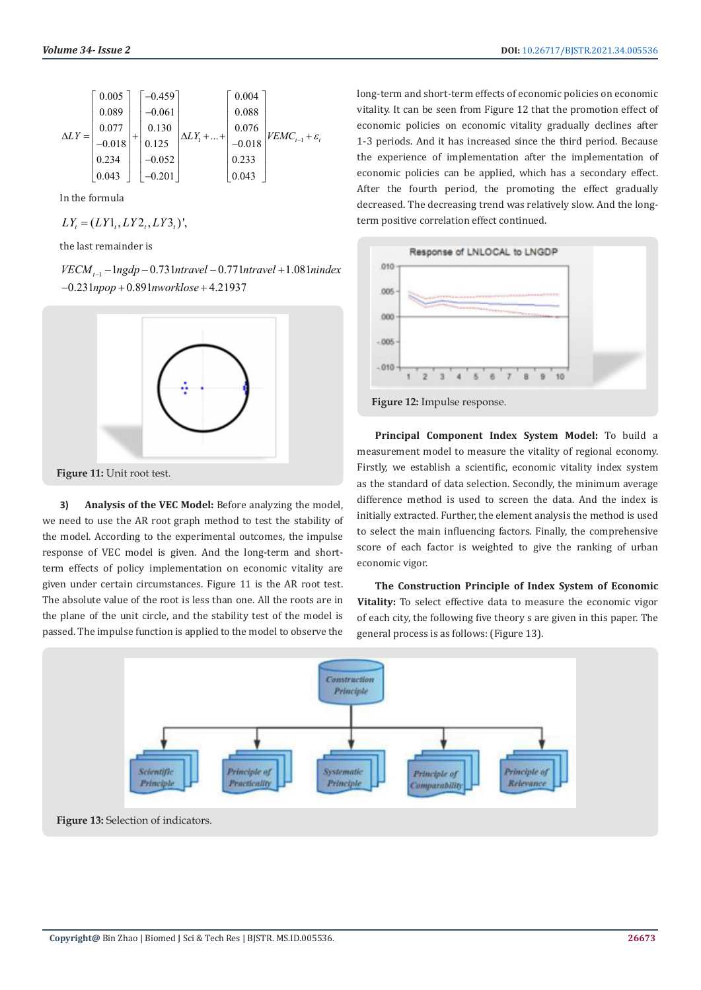$$
\Delta LY = \begin{bmatrix} 0.005 \\ 0.089 \\ 0.077 \\ -0.018 \\ 0.234 \\ 0.043 \end{bmatrix} + \begin{bmatrix} -0.459 \\ -0.061 \\ 0.130 \\ 0.125 \\ -0.052 \\ -0.052 \end{bmatrix} \Delta LY_1 + \dots + \begin{bmatrix} 0.004 \\ 0.088 \\ 0.076 \\ -0.018 \\ 0.233 \\ 0.043 \end{bmatrix} VEMC_{t-1} + \varepsilon_t
$$

In the formula

$$
LY_t = (LY1_t, LY2_t, LY3_t)'
$$

the last remainder is

*VECM*<sub>t-1</sub> − 1ngdp − 0.731ntravel − 0.771ntravel + 1.081nindex −0.231npop + 0.891nworklose + 4.21937



**3) Analysis of the VEC Model:** Before analyzing the model, we need to use the AR root graph method to test the stability of the model. According to the experimental outcomes, the impulse response of VEC model is given. And the long-term and shortterm effects of policy implementation on economic vitality are given under certain circumstances. Figure 11 is the AR root test. The absolute value of the root is less than one. All the roots are in the plane of the unit circle, and the stability test of the model is passed. The impulse function is applied to the model to observe the

long-term and short-term effects of economic policies on economic vitality. It can be seen from Figure 12 that the promotion effect of economic policies on economic vitality gradually declines after 1-3 periods. And it has increased since the third period. Because the experience of implementation after the implementation of economic policies can be applied, which has a secondary effect. After the fourth period, the promoting the effect gradually decreased. The decreasing trend was relatively slow. And the longterm positive correlation effect continued.



**Principal Component Index System Model:** To build a measurement model to measure the vitality of regional economy. Firstly, we establish a scientific, economic vitality index system as the standard of data selection. Secondly, the minimum average difference method is used to screen the data. And the index is initially extracted. Further, the element analysis the method is used to select the main influencing factors. Finally, the comprehensive score of each factor is weighted to give the ranking of urban economic vigor.

**The Construction Principle of Index System of Economic Vitality:** To select effective data to measure the economic vigor of each city, the following five theory s are given in this paper. The general process is as follows: (Figure 13).

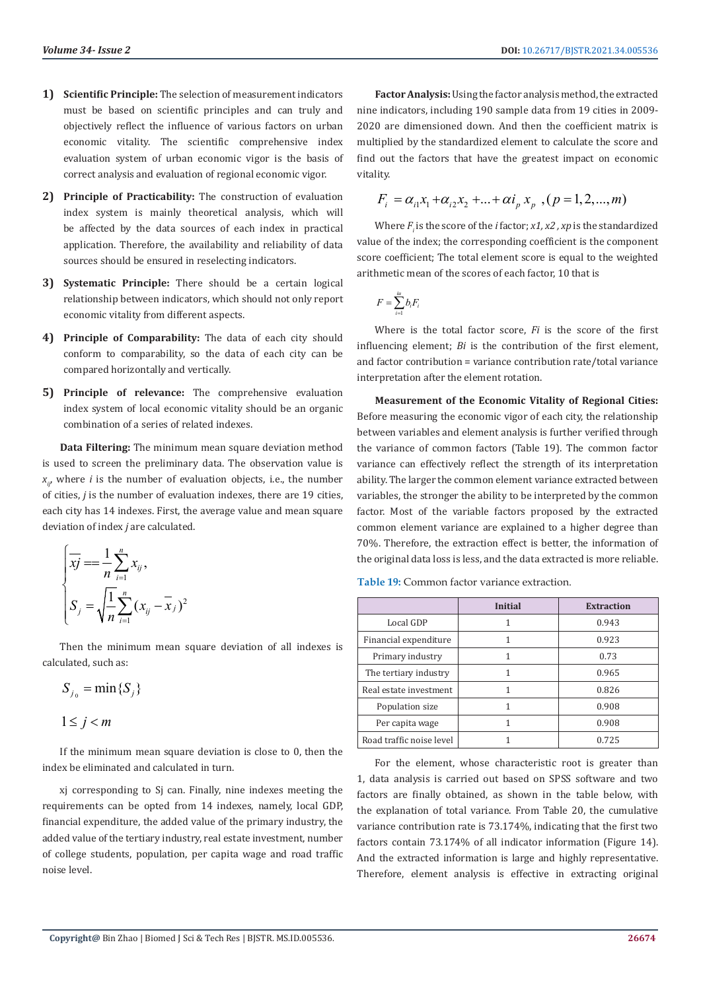- **1) Scientific Principle:** The selection of measurement indicators must be based on scientific principles and can truly and objectively reflect the influence of various factors on urban economic vitality. The scientific comprehensive index evaluation system of urban economic vigor is the basis of correct analysis and evaluation of regional economic vigor.
- **2) Principle of Practicability:** The construction of evaluation index system is mainly theoretical analysis, which will be affected by the data sources of each index in practical application. Therefore, the availability and reliability of data sources should be ensured in reselecting indicators.
- **3) Systematic Principle:** There should be a certain logical relationship between indicators, which should not only report economic vitality from different aspects.
- **4) Principle of Comparability:** The data of each city should conform to comparability, so the data of each city can be compared horizontally and vertically.
- **5) Principle of relevance:** The comprehensive evaluation index system of local economic vitality should be an organic combination of a series of related indexes.

**Data Filtering:** The minimum mean square deviation method is used to screen the preliminary data. The observation value is  $x_{ij}$ , where *i* is the number of evaluation objects, i.e., the number of cities, *j* is the number of evaluation indexes, there are 19 cities, each city has 14 indexes. First, the average value and mean square deviation of index *j* are calculated.

$$
\begin{cases}\n\overline{xy} = \frac{1}{n} \sum_{i=1}^{n} x_{ij}, \\
S_j = \sqrt{\frac{1}{n} \sum_{i=1}^{n} (x_{ij} - \overline{x}_j)^2}\n\end{cases}
$$

Then the minimum mean square deviation of all indexes is calculated, such as:

$$
S_{j_0} = \min\{S_j\}
$$
  

$$
1 \le j < m
$$

If the minimum mean square deviation is close to 0, then the index be eliminated and calculated in turn.

xj corresponding to Sj can. Finally, nine indexes meeting the requirements can be opted from 14 indexes, namely, local GDP, financial expenditure, the added value of the primary industry, the added value of the tertiary industry, real estate investment, number of college students, population, per capita wage and road traffic noise level.

**Factor Analysis:** Using the factor analysis method, the extracted nine indicators, including 190 sample data from 19 cities in 2009- 2020 are dimensioned down. And then the coefficient matrix is multiplied by the standardized element to calculate the score and find out the factors that have the greatest impact on economic vitality.

$$
F_i = \alpha_{i1} x_1 + \alpha_{i2} x_2 + \dots + \alpha i_p x_p , (p = 1, 2, \dots, m)
$$

Where  $F_i$  is the score of the *i* factor; *x1*, *x2*, *xp* is the standardized value of the index; the corresponding coefficient is the component score coefficient; The total element score is equal to the weighted arithmetic mean of the scores of each factor, 10 that is

$$
F = \sum_{i=1}^{iu} b_i F_i
$$

Where is the total factor score, *Fi* is the score of the first influencing element; *Bi* is the contribution of the first element, and factor contribution = variance contribution rate/total variance interpretation after the element rotation.

**Measurement of the Economic Vitality of Regional Cities:**  Before measuring the economic vigor of each city, the relationship between variables and element analysis is further verified through the variance of common factors (Table 19). The common factor variance can effectively reflect the strength of its interpretation ability. The larger the common element variance extracted between variables, the stronger the ability to be interpreted by the common factor. Most of the variable factors proposed by the extracted common element variance are explained to a higher degree than 70%. Therefore, the extraction effect is better, the information of the original data loss is less, and the data extracted is more reliable.

**Table 19:** Common factor variance extraction.

|                          | Initial | <b>Extraction</b> |
|--------------------------|---------|-------------------|
| Local GDP                |         | 0.943             |
| Financial expenditure    |         | 0.923             |
| Primary industry         | 1       | 0.73              |
| The tertiary industry    |         | 0.965             |
| Real estate investment   |         | 0.826             |
| Population size          |         | 0.908             |
| Per capita wage          |         | 0.908             |
| Road traffic noise level |         | 0.725             |

For the element, whose characteristic root is greater than 1, data analysis is carried out based on SPSS software and two factors are finally obtained, as shown in the table below, with the explanation of total variance. From Table 20, the cumulative variance contribution rate is 73.174%, indicating that the first two factors contain 73.174% of all indicator information (Figure 14). And the extracted information is large and highly representative. Therefore, element analysis is effective in extracting original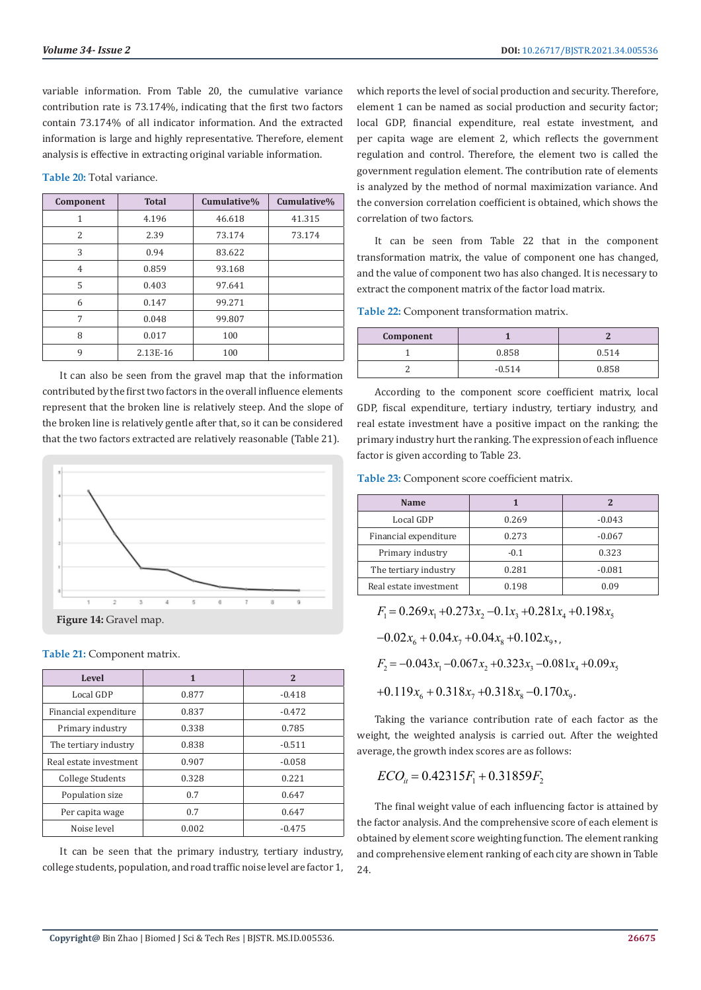variable information. From Table 20, the cumulative variance contribution rate is 73.174%, indicating that the first two factors contain 73.174% of all indicator information. And the extracted information is large and highly representative. Therefore, element analysis is effective in extracting original variable information.

**Table 20:** Total variance.

| Component | <b>Total</b> | Cumulative% | Cumulative% |
|-----------|--------------|-------------|-------------|
| 1         | 4.196        | 46.618      | 41.315      |
| 2         | 2.39         | 73.174      | 73.174      |
| 3         | 0.94         | 83.622      |             |
| 4         | 0.859        | 93.168      |             |
| 5         | 0.403        | 97.641      |             |
| 6         | 0.147        | 99.271      |             |
| 7         | 0.048        | 99.807      |             |
| 8         | 0.017        | 100         |             |
| 9         | 2.13E-16     | 100         |             |

It can also be seen from the gravel map that the information contributed by the first two factors in the overall influence elements represent that the broken line is relatively steep. And the slope of the broken line is relatively gentle after that, so it can be considered that the two factors extracted are relatively reasonable (Table 21).



#### **Table 21:** Component matrix.

| Level                  | 1     | 2        |
|------------------------|-------|----------|
| Local GDP              | 0.877 | $-0.418$ |
| Financial expenditure  | 0.837 | $-0.472$ |
| Primary industry       | 0.338 | 0.785    |
| The tertiary industry  | 0.838 | $-0.511$ |
| Real estate investment | 0.907 | $-0.058$ |
| College Students       | 0.328 | 0.221    |
| Population size        | 0.7   | 0.647    |
| Per capita wage        | 0.7   | 0.647    |
| Noise level            | 0.002 | $-0.475$ |

It can be seen that the primary industry, tertiary industry, college students, population, and road traffic noise level are factor 1, which reports the level of social production and security. Therefore, element 1 can be named as social production and security factor; local GDP, financial expenditure, real estate investment, and per capita wage are element 2, which reflects the government regulation and control. Therefore, the element two is called the government regulation element. The contribution rate of elements is analyzed by the method of normal maximization variance. And the conversion correlation coefficient is obtained, which shows the correlation of two factors.

It can be seen from Table 22 that in the component transformation matrix, the value of component one has changed, and the value of component two has also changed. It is necessary to extract the component matrix of the factor load matrix.

**Table 22:** Component transformation matrix.

| Component |          |       |
|-----------|----------|-------|
|           | 0.858    | 0.514 |
|           | $-0.514$ | 0.858 |

According to the component score coefficient matrix, local GDP, fiscal expenditure, tertiary industry, tertiary industry, and real estate investment have a positive impact on the ranking; the primary industry hurt the ranking. The expression of each influence factor is given according to Table 23.

**Table 23:** Component score coefficient matrix.

| Name                   |        |          |
|------------------------|--------|----------|
| Local GDP              | 0.269  | $-0.043$ |
| Financial expenditure  | 0.273  | $-0.067$ |
| Primary industry       | $-0.1$ | 0.323    |
| The tertiary industry  | 0.281  | $-0.081$ |
| Real estate investment | 0.198  | 0.09     |

 $F_1 = 0.269x_1 + 0.273x_2 - 0.1x_3 + 0.281x_4 + 0.198x_5$ 

 $-0.02x_{6} + 0.04x_{7} + 0.04x_{8} + 0.102x_{9}$ 

 $F_2 = -0.043x_1 - 0.067x_2 + 0.323x_3 - 0.081x_4 + 0.09x_5$ 

 $+ 0.119 x<sub>6</sub> + 0.318 x<sub>7</sub> + 0.318 x<sub>8</sub> - 0.170 x<sub>9</sub>.$ 

Taking the variance contribution rate of each factor as the weight, the weighted analysis is carried out. After the weighted average, the growth index scores are as follows:

$$
ECO_{it} = 0.42315F_1 + 0.31859F_2
$$

The final weight value of each influencing factor is attained by the factor analysis. And the comprehensive score of each element is obtained by element score weighting function. The element ranking and comprehensive element ranking of each city are shown in Table 24.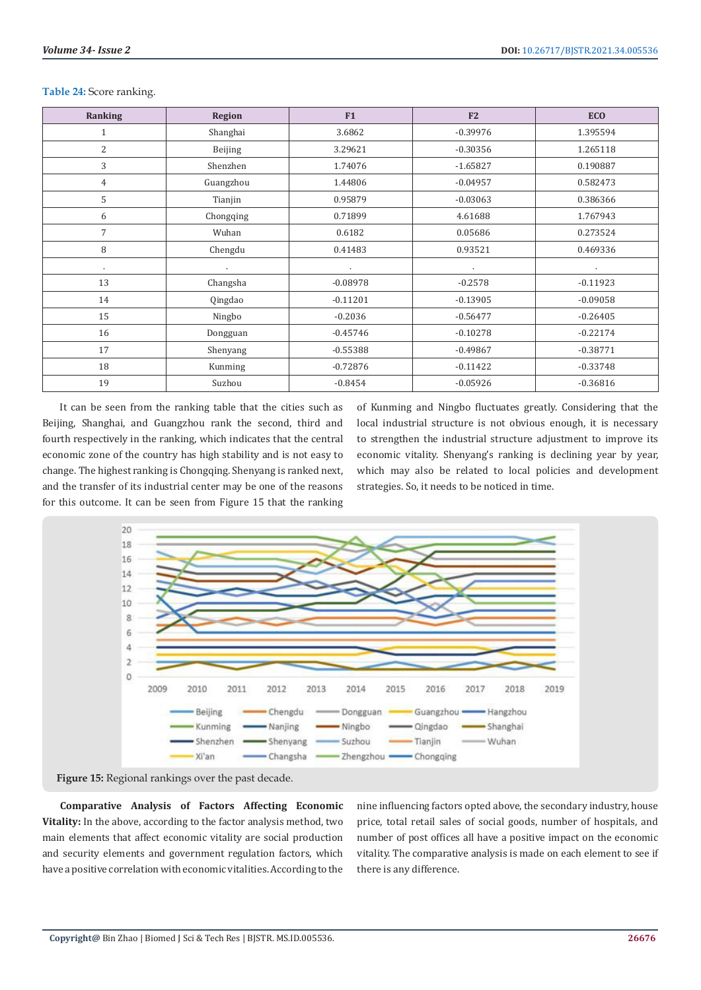| Ranking         | <b>Region</b> | F1         | F2         | <b>ECO</b> |
|-----------------|---------------|------------|------------|------------|
| $\mathbf{1}$    | Shanghai      | 3.6862     | $-0.39976$ | 1.395594   |
| 2               | Beijing       | 3.29621    | $-0.30356$ | 1.265118   |
| 3               | Shenzhen      | 1.74076    | $-1.65827$ | 0.190887   |
| $\overline{4}$  | Guangzhou     | 1.44806    | $-0.04957$ | 0.582473   |
| 5               | Tianjin       | 0.95879    | $-0.03063$ | 0.386366   |
| 6               | Chongqing     | 0.71899    | 4.61688    | 1.767943   |
| $7\overline{ }$ | Wuhan         | 0.6182     | 0.05686    | 0.273524   |
| 8               | Chengdu       | 0.41483    | 0.93521    | 0.469336   |
| ٠               | $\bullet$     | $\cdot$    | $\cdot$    | $\sim$     |
| 13              | Changsha      | $-0.08978$ | $-0.2578$  | $-0.11923$ |
| 14              | Qingdao       | $-0.11201$ | $-0.13905$ | $-0.09058$ |
| 15              | Ningbo        | $-0.2036$  | $-0.56477$ | $-0.26405$ |
| 16              | Dongguan      | $-0.45746$ | $-0.10278$ | $-0.22174$ |
| 17              | Shenyang      | $-0.55388$ | $-0.49867$ | $-0.38771$ |
| 18              | Kunming       | $-0.72876$ | $-0.11422$ | $-0.33748$ |
| 19              | Suzhou        | $-0.8454$  | $-0.05926$ | $-0.36816$ |

#### **Table 24:** Score ranking.

It can be seen from the ranking table that the cities such as Beijing, Shanghai, and Guangzhou rank the second, third and fourth respectively in the ranking, which indicates that the central economic zone of the country has high stability and is not easy to change. The highest ranking is Chongqing. Shenyang is ranked next, and the transfer of its industrial center may be one of the reasons for this outcome. It can be seen from Figure 15 that the ranking

of Kunming and Ningbo fluctuates greatly. Considering that the local industrial structure is not obvious enough, it is necessary to strengthen the industrial structure adjustment to improve its economic vitality. Shenyang's ranking is declining year by year, which may also be related to local policies and development strategies. So, it needs to be noticed in time.





**Comparative Analysis of Factors Affecting Economic Vitality:** In the above, according to the factor analysis method, two main elements that affect economic vitality are social production and security elements and government regulation factors, which have a positive correlation with economic vitalities. According to the

nine influencing factors opted above, the secondary industry, house price, total retail sales of social goods, number of hospitals, and number of post offices all have a positive impact on the economic vitality. The comparative analysis is made on each element to see if there is any difference.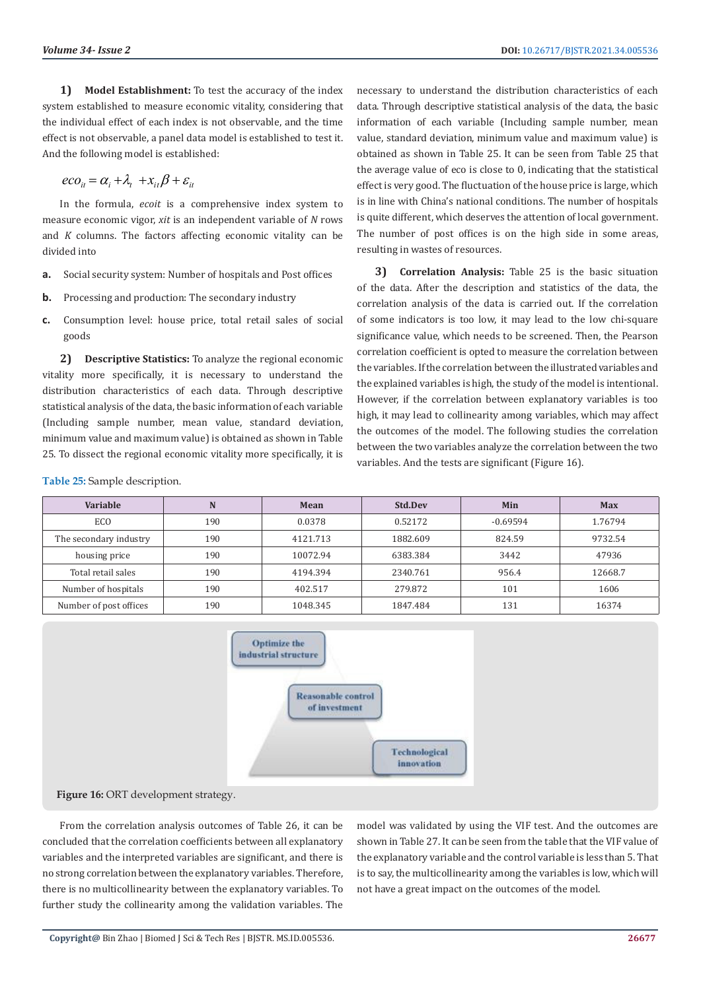**1) Model Establishment:** To test the accuracy of the index system established to measure economic vitality, considering that the individual effect of each index is not observable, and the time effect is not observable, a panel data model is established to test it. And the following model is established:

$$
eco_{it} = \alpha_i + \lambda_t + x_{it}\beta + \varepsilon_{it}
$$

In the formula, *ecoit* is a comprehensive index system to measure economic vigor, *xit* is an independent variable of *N* rows and *K* columns. The factors affecting economic vitality can be divided into

- **a.** Social security system: Number of hospitals and Post offices
- **b.** Processing and production: The secondary industry
- **c.** Consumption level: house price, total retail sales of social goods

**2) Descriptive Statistics:** To analyze the regional economic vitality more specifically, it is necessary to understand the distribution characteristics of each data. Through descriptive statistical analysis of the data, the basic information of each variable (Including sample number, mean value, standard deviation, minimum value and maximum value) is obtained as shown in Table 25. To dissect the regional economic vitality more specifically, it is

**Table 25:** Sample description.

necessary to understand the distribution characteristics of each data. Through descriptive statistical analysis of the data, the basic information of each variable (Including sample number, mean value, standard deviation, minimum value and maximum value) is obtained as shown in Table 25. It can be seen from Table 25 that the average value of eco is close to 0, indicating that the statistical effect is very good. The fluctuation of the house price is large, which is in line with China's national conditions. The number of hospitals is quite different, which deserves the attention of local government. The number of post offices is on the high side in some areas, resulting in wastes of resources.

**3) Correlation Analysis:** Table 25 is the basic situation of the data. After the description and statistics of the data, the correlation analysis of the data is carried out. If the correlation of some indicators is too low, it may lead to the low chi-square significance value, which needs to be screened. Then, the Pearson correlation coefficient is opted to measure the correlation between the variables. If the correlation between the illustrated variables and the explained variables is high, the study of the model is intentional. However, if the correlation between explanatory variables is too high, it may lead to collinearity among variables, which may affect the outcomes of the model. The following studies the correlation between the two variables analyze the correlation between the two variables. And the tests are significant (Figure 16).

| <b>Variable</b>        | N   | Mean     | Std.Dev  | Min        | <b>Max</b> |
|------------------------|-----|----------|----------|------------|------------|
| ECO                    | 190 | 0.0378   | 0.52172  | $-0.69594$ | 1.76794    |
| The secondary industry | 190 | 4121.713 | 1882.609 | 824.59     | 9732.54    |
| housing price          | 190 | 10072.94 | 6383.384 | 3442       | 47936      |
| Total retail sales     | 190 | 4194.394 | 2340.761 | 956.4      | 12668.7    |
| Number of hospitals    | 190 | 402.517  | 279.872  | 101        | 1606       |
| Number of post offices | 190 | 1048.345 | 1847.484 | 131        | 16374      |



**Figure 16:** ORT development strategy.

From the correlation analysis outcomes of Table 26, it can be concluded that the correlation coefficients between all explanatory variables and the interpreted variables are significant, and there is no strong correlation between the explanatory variables. Therefore, there is no multicollinearity between the explanatory variables. To further study the collinearity among the validation variables. The

model was validated by using the VIF test. And the outcomes are shown in Table 27. It can be seen from the table that the VIF value of the explanatory variable and the control variable is less than 5. That is to say, the multicollinearity among the variables is low, which will not have a great impact on the outcomes of the model.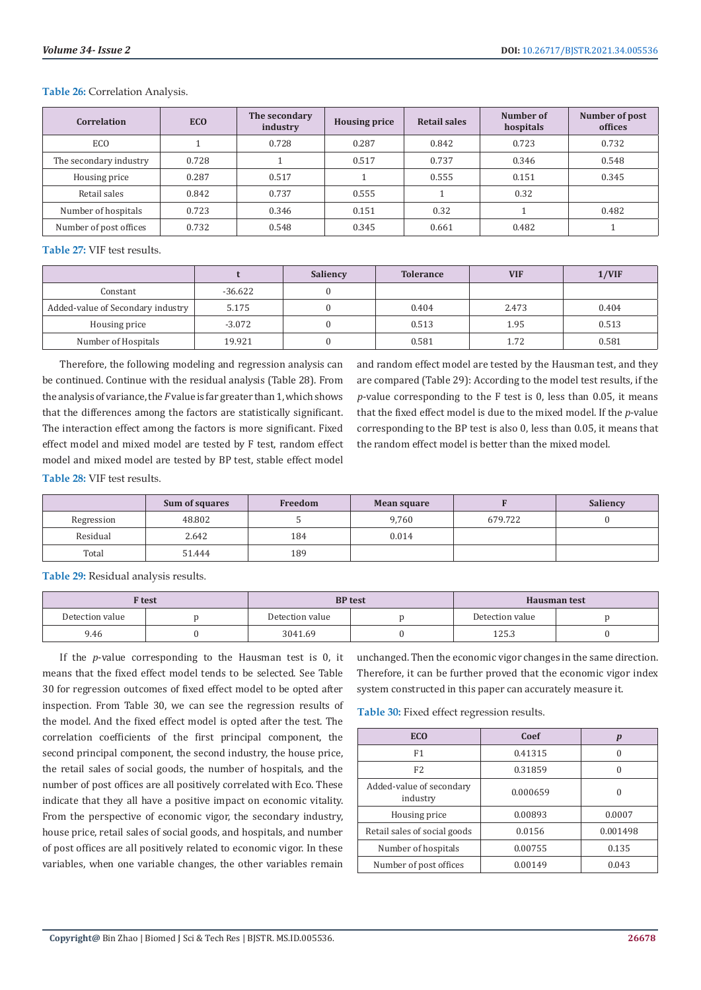#### **Table 26:** Correlation Analysis.

| <b>Correlation</b>     | <b>ECO</b> | The secondary<br>industry | <b>Housing price</b> | <b>Retail sales</b> | Number of<br>hospitals | Number of post<br>offices |
|------------------------|------------|---------------------------|----------------------|---------------------|------------------------|---------------------------|
| EC <sub>O</sub>        |            | 0.728                     | 0.287                | 0.842               | 0.723                  | 0.732                     |
| The secondary industry | 0.728      |                           | 0.517                | 0.737               | 0.346                  | 0.548                     |
| Housing price          | 0.287      | 0.517                     |                      | 0.555               | 0.151                  | 0.345                     |
| Retail sales           | 0.842      | 0.737                     | 0.555                |                     | 0.32                   |                           |
| Number of hospitals    | 0.723      | 0.346                     | 0.151                | 0.32                |                        | 0.482                     |
| Number of post offices | 0.732      | 0.548                     | 0.345                | 0.661               | 0.482                  |                           |

**Table 27:** VIF test results.

|                                   |           | Saliency | <b>Tolerance</b> | <b>VIF</b> | 1/VIF |
|-----------------------------------|-----------|----------|------------------|------------|-------|
| Constant                          | $-36.622$ |          |                  |            |       |
| Added-value of Secondary industry | 5.175     |          | 0.404            | 2.473      | 0.404 |
| Housing price                     | $-3.072$  |          | 0.513            | 1.95       | 0.513 |
| Number of Hospitals               | 19.921    |          | 0.581            | 1.72       | 0.581 |

Therefore, the following modeling and regression analysis can be continued. Continue with the residual analysis (Table 28). From the analysis of variance, the *F* value is far greater than 1, which shows that the differences among the factors are statistically significant. The interaction effect among the factors is more significant. Fixed effect model and mixed model are tested by F test, random effect model and mixed model are tested by BP test, stable effect model

and random effect model are tested by the Hausman test, and they are compared (Table 29): According to the model test results, if the *p*-value corresponding to the F test is 0, less than 0.05, it means that the fixed effect model is due to the mixed model. If the *p*-value corresponding to the BP test is also 0, less than 0.05, it means that the random effect model is better than the mixed model.

**Table 28:** VIF test results.

|            | Sum of squares | Freedom | Mean square |         | Saliency |
|------------|----------------|---------|-------------|---------|----------|
| Regression | 48.802         |         | 9,760       | 679.722 |          |
| Residual   | 2.642          | 184     | 0.014       |         |          |
| Total      | 51.444         | 189     |             |         |          |

**Table 29:** Residual analysis results.

| F test          |  |                 | <b>BP</b> test | Hausman test    |  |
|-----------------|--|-----------------|----------------|-----------------|--|
| Detection value |  | Detection value |                | Detection value |  |
| 9.46            |  | 3041.69         |                | 125.3           |  |

If the *p*-value corresponding to the Hausman test is 0, it means that the fixed effect model tends to be selected. See Table 30 for regression outcomes of fixed effect model to be opted after inspection. From Table 30, we can see the regression results of the model. And the fixed effect model is opted after the test. The correlation coefficients of the first principal component, the second principal component, the second industry, the house price, the retail sales of social goods, the number of hospitals, and the number of post offices are all positively correlated with Eco. These indicate that they all have a positive impact on economic vitality. From the perspective of economic vigor, the secondary industry, house price, retail sales of social goods, and hospitals, and number of post offices are all positively related to economic vigor. In these variables, when one variable changes, the other variables remain

unchanged. Then the economic vigor changes in the same direction. Therefore, it can be further proved that the economic vigor index system constructed in this paper can accurately measure it.

**Table 30:** Fixed effect regression results.

| <b>ECO</b>                           | Coef     |          |
|--------------------------------------|----------|----------|
| F1                                   | 0.41315  |          |
| F <sub>2</sub>                       | 0.31859  |          |
| Added-value of secondary<br>industry | 0.000659 |          |
| Housing price                        | 0.00893  | 0.0007   |
| Retail sales of social goods         | 0.0156   | 0.001498 |
| Number of hospitals                  | 0.00755  | 0.135    |
| Number of post offices               | 0.00149  | 0.043    |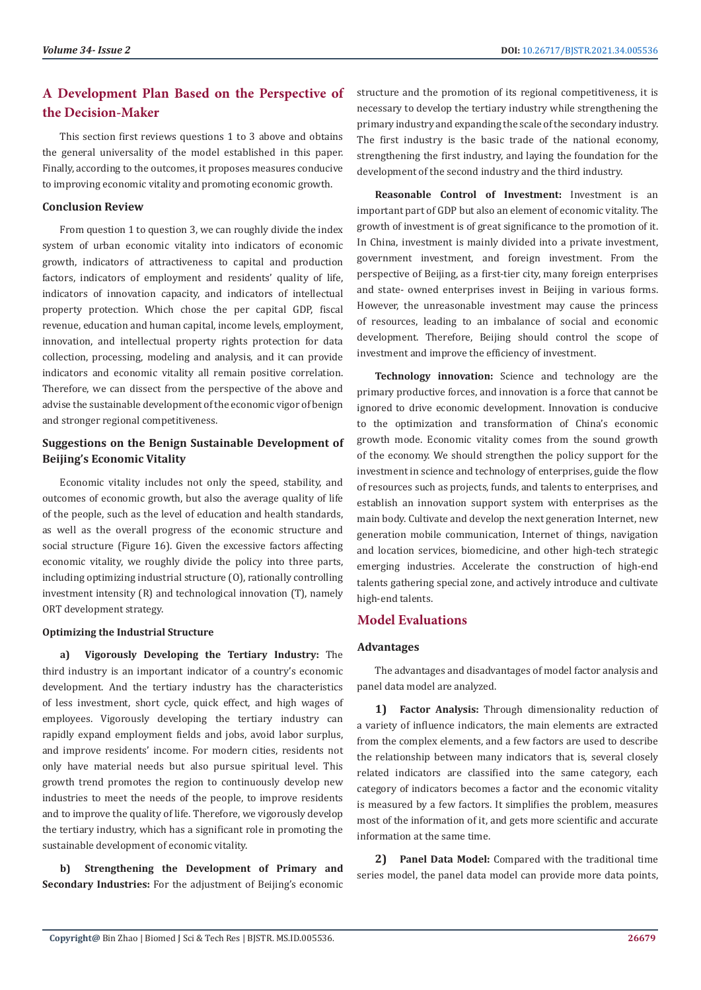# **A Development Plan Based on the Perspective of the Decision-Maker**

This section first reviews questions 1 to 3 above and obtains the general universality of the model established in this paper. Finally, according to the outcomes, it proposes measures conducive to improving economic vitality and promoting economic growth.

### **Conclusion Review**

From question 1 to question 3, we can roughly divide the index system of urban economic vitality into indicators of economic growth, indicators of attractiveness to capital and production factors, indicators of employment and residents' quality of life, indicators of innovation capacity, and indicators of intellectual property protection. Which chose the per capital GDP, fiscal revenue, education and human capital, income levels, employment, innovation, and intellectual property rights protection for data collection, processing, modeling and analysis, and it can provide indicators and economic vitality all remain positive correlation. Therefore, we can dissect from the perspective of the above and advise the sustainable development of the economic vigor of benign and stronger regional competitiveness.

# **Suggestions on the Benign Sustainable Development of Beijing's Economic Vitality**

Economic vitality includes not only the speed, stability, and outcomes of economic growth, but also the average quality of life of the people, such as the level of education and health standards, as well as the overall progress of the economic structure and social structure (Figure 16). Given the excessive factors affecting economic vitality, we roughly divide the policy into three parts, including optimizing industrial structure (O), rationally controlling investment intensity (R) and technological innovation (T), namely ORT development strategy.

#### **Optimizing the Industrial Structure**

**a) Vigorously Developing the Tertiary Industry:** The third industry is an important indicator of a country's economic development. And the tertiary industry has the characteristics of less investment, short cycle, quick effect, and high wages of employees. Vigorously developing the tertiary industry can rapidly expand employment fields and jobs, avoid labor surplus, and improve residents' income. For modern cities, residents not only have material needs but also pursue spiritual level. This growth trend promotes the region to continuously develop new industries to meet the needs of the people, to improve residents and to improve the quality of life. Therefore, we vigorously develop the tertiary industry, which has a significant role in promoting the sustainable development of economic vitality.

**b) Strengthening the Development of Primary and Secondary Industries:** For the adjustment of Beijing's economic structure and the promotion of its regional competitiveness, it is necessary to develop the tertiary industry while strengthening the primary industry and expanding the scale of the secondary industry. The first industry is the basic trade of the national economy, strengthening the first industry, and laying the foundation for the development of the second industry and the third industry.

**Reasonable Control of Investment:** Investment is an important part of GDP but also an element of economic vitality. The growth of investment is of great significance to the promotion of it. In China, investment is mainly divided into a private investment, government investment, and foreign investment. From the perspective of Beijing, as a first-tier city, many foreign enterprises and state- owned enterprises invest in Beijing in various forms. However, the unreasonable investment may cause the princess of resources, leading to an imbalance of social and economic development. Therefore, Beijing should control the scope of investment and improve the efficiency of investment.

**Technology innovation:** Science and technology are the primary productive forces, and innovation is a force that cannot be ignored to drive economic development. Innovation is conducive to the optimization and transformation of China's economic growth mode. Economic vitality comes from the sound growth of the economy. We should strengthen the policy support for the investment in science and technology of enterprises, guide the flow of resources such as projects, funds, and talents to enterprises, and establish an innovation support system with enterprises as the main body. Cultivate and develop the next generation Internet, new generation mobile communication, Internet of things, navigation and location services, biomedicine, and other high-tech strategic emerging industries. Accelerate the construction of high-end talents gathering special zone, and actively introduce and cultivate high-end talents.

# **Model Evaluations**

# **Advantages**

The advantages and disadvantages of model factor analysis and panel data model are analyzed.

**1) Factor Analysis:** Through dimensionality reduction of a variety of influence indicators, the main elements are extracted from the complex elements, and a few factors are used to describe the relationship between many indicators that is, several closely related indicators are classified into the same category, each category of indicators becomes a factor and the economic vitality is measured by a few factors. It simplifies the problem, measures most of the information of it, and gets more scientific and accurate information at the same time.

**2) Panel Data Model:** Compared with the traditional time series model, the panel data model can provide more data points,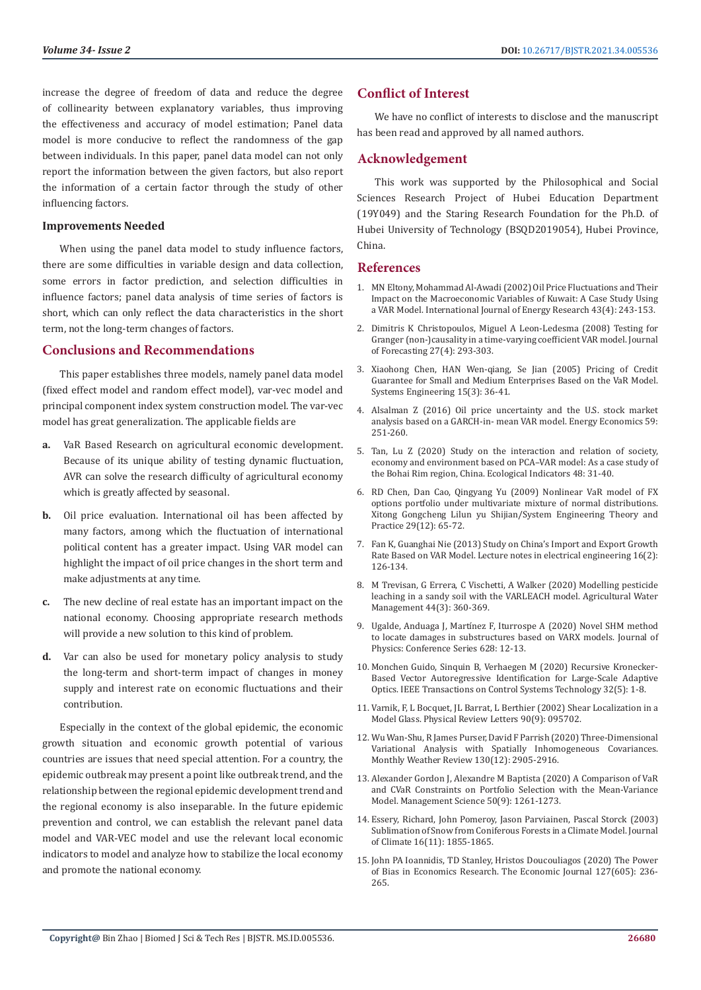increase the degree of freedom of data and reduce the degree of collinearity between explanatory variables, thus improving the effectiveness and accuracy of model estimation; Panel data model is more conducive to reflect the randomness of the gap between individuals. In this paper, panel data model can not only report the information between the given factors, but also report the information of a certain factor through the study of other influencing factors.

#### **Improvements Needed**

When using the panel data model to study influence factors, there are some difficulties in variable design and data collection, some errors in factor prediction, and selection difficulties in influence factors; panel data analysis of time series of factors is short, which can only reflect the data characteristics in the short term, not the long-term changes of factors.

# **Conclusions and Recommendations**

This paper establishes three models, namely panel data model (fixed effect model and random effect model), var-vec model and principal component index system construction model. The var-vec model has great generalization. The applicable fields are

- **a.** VaR Based Research on agricultural economic development. Because of its unique ability of testing dynamic fluctuation, AVR can solve the research difficulty of agricultural economy which is greatly affected by seasonal.
- **b.** Oil price evaluation. International oil has been affected by many factors, among which the fluctuation of international political content has a greater impact. Using VAR model can highlight the impact of oil price changes in the short term and make adjustments at any time.
- **c.** The new decline of real estate has an important impact on the national economy. Choosing appropriate research methods will provide a new solution to this kind of problem.
- **d.** Var can also be used for monetary policy analysis to study the long-term and short-term impact of changes in money supply and interest rate on economic fluctuations and their contribution.

Especially in the context of the global epidemic, the economic growth situation and economic growth potential of various countries are issues that need special attention. For a country, the epidemic outbreak may present a point like outbreak trend, and the relationship between the regional epidemic development trend and the regional economy is also inseparable. In the future epidemic prevention and control, we can establish the relevant panel data model and VAR-VEC model and use the relevant local economic indicators to model and analyze how to stabilize the local economy and promote the national economy.

# **Conflict of Interest**

We have no conflict of interests to disclose and the manuscript has been read and approved by all named authors.

# **Acknowledgement**

This work was supported by the Philosophical and Social Sciences Research Project of Hubei Education Department (19Y049) and the Staring Research Foundation for the Ph.D. of Hubei University of Technology (BSQD2019054), Hubei Province, China.

### **References**

- 1. [MN Eltony, Mohammad Al‐Awadi \(2002\) Oil Price Fluctuations and Their](https://onlinelibrary.wiley.com/doi/abs/10.1002/er.731) [Impact on the Macroeconomic Variables of Kuwait: A Case Study Using](https://onlinelibrary.wiley.com/doi/abs/10.1002/er.731) [a VAR Model. International Journal of Energy Research 43\(4\): 243-153.](https://onlinelibrary.wiley.com/doi/abs/10.1002/er.731)
- 2. [Dimitris K Christopoulos, Miguel A Leon‐Ledesma \(2008\) Testing for](https://onlinelibrary.wiley.com/doi/abs/10.1002/for.1060) [Granger \(non-\)causality in a time-varying coefficient VAR model. Journal](https://onlinelibrary.wiley.com/doi/abs/10.1002/for.1060) [of Forecasting 27\(4\): 293-303.](https://onlinelibrary.wiley.com/doi/abs/10.1002/for.1060)
- 3. [Xiaohong Chen, HAN Wen-qiang, Se Jian \(2005\) Pricing of Credit](http://en.cnki.com.cn/Article_en/CJFDTotal-GCXT200509022.htm) [Guarantee for Small and Medium Enterprises Based on the VaR Model.](http://en.cnki.com.cn/Article_en/CJFDTotal-GCXT200509022.htm) [Systems Engineering 15\(3\): 36-41.](http://en.cnki.com.cn/Article_en/CJFDTotal-GCXT200509022.htm)
- 4. [Alsalman Z \(2016\) Oil price uncertainty and the U.S. stock market](https://www.sciencedirect.com/science/article/pii/S0140988316302158) [analysis based on a GARCH-in- mean VAR model. Energy Economics 59:](https://www.sciencedirect.com/science/article/pii/S0140988316302158) [251-260.](https://www.sciencedirect.com/science/article/pii/S0140988316302158)
- 5. [Tan, Lu Z \(2020\) Study on the interaction and relation of society,](https://www.sciencedirect.com/science/article/abs/pii/S1470160X14003458) [economy and environment based on PCA–VAR model: As a case study of](https://www.sciencedirect.com/science/article/abs/pii/S1470160X14003458) [the Bohai Rim region, China. Ecological Indicators 48: 31-40.](https://www.sciencedirect.com/science/article/abs/pii/S1470160X14003458)
- 6. [RD Chen, Dan Cao, Qingyang Yu \(2009\) Nonlinear VaR model of FX](https://www.researchgate.net/publication/232657157_Nonlinear_VaR_Model_of_Options_Portfolio_under_Multivariate_Mixture_of_Normals_Distributions) [options portfolio under multivariate mixture of normal distributions.](https://www.researchgate.net/publication/232657157_Nonlinear_VaR_Model_of_Options_Portfolio_under_Multivariate_Mixture_of_Normals_Distributions) [Xitong Gongcheng Lilun yu Shijian/System Engineering Theory and](https://www.researchgate.net/publication/232657157_Nonlinear_VaR_Model_of_Options_Portfolio_under_Multivariate_Mixture_of_Normals_Distributions) [Practice 29\(12\): 65-72.](https://www.researchgate.net/publication/232657157_Nonlinear_VaR_Model_of_Options_Portfolio_under_Multivariate_Mixture_of_Normals_Distributions)
- 7. [Fan K, Guanghai Nie \(2013\) Study on China's Import and Export Growth](https://link.springer.com/chapter/10.1007/978-3-642-35567-7_36) [Rate Based on VAR Model. Lecture notes in electrical engineering 16\(2\):](https://link.springer.com/chapter/10.1007/978-3-642-35567-7_36) [126-134.](https://link.springer.com/chapter/10.1007/978-3-642-35567-7_36)
- 8. [M Trevisan, G Errera, C Vischetti, A Walker \(2020\) Modelling pesticide](https://www.sciencedirect.com/science/article/abs/pii/S0378377499001006) [leaching in a sandy soil with the VARLEACH model. Agricultural Water](https://www.sciencedirect.com/science/article/abs/pii/S0378377499001006) [Management 44\(3\): 360-369.](https://www.sciencedirect.com/science/article/abs/pii/S0378377499001006)
- 9. [Ugalde, Anduaga J, Martínez F, Iturrospe A \(2020\) Novel SHM method](https://ui.adsabs.harvard.edu/abs/2015JPhCS.628a2013U/abstract) [to locate damages in substructures based on VARX models. Journal of](https://ui.adsabs.harvard.edu/abs/2015JPhCS.628a2013U/abstract) [Physics: Conference Series 628: 12-13.](https://ui.adsabs.harvard.edu/abs/2015JPhCS.628a2013U/abstract)
- 10. [Monchen Guido, Sinquin B, Verhaegen M \(2020\) Recursive Kronecker-](https://ieeexplore.ieee.org/stamp/stamp.jsp?arnumber=8412743)[Based Vector Autoregressive Identification for Large-Scale Adaptive](https://ieeexplore.ieee.org/stamp/stamp.jsp?arnumber=8412743) [Optics. IEEE Transactions on Control Systems Technology 32\(5\): 1-8.](https://ieeexplore.ieee.org/stamp/stamp.jsp?arnumber=8412743)
- 11. [Varnik, F, L Bocquet, JL Barrat, L Berthier \(2002\) Shear Localization in a](https://arxiv.org/abs/cond-mat/0208485) [Model Glass. Physical Review Letters 90\(9\): 095702.](https://arxiv.org/abs/cond-mat/0208485)
- 12. [Wu Wan-Shu, R James Purser, David F Parrish \(2020\) Three-Dimensional](https://journals.ametsoc.org/view/journals/mwre/130/12/1520-0493_2002_130_2905_tdvaws_2.0.co_2.xml) [Variational Analysis with Spatially Inhomogeneous Covariances.](https://journals.ametsoc.org/view/journals/mwre/130/12/1520-0493_2002_130_2905_tdvaws_2.0.co_2.xml) [Monthly Weather Review 130\(12\): 2905-2916.](https://journals.ametsoc.org/view/journals/mwre/130/12/1520-0493_2002_130_2905_tdvaws_2.0.co_2.xml)
- 13. [Alexander Gordon J, Alexandre M Baptista \(2020\) A Comparison of VaR](https://pubsonline.informs.org/doi/abs/10.1287/mnsc.1040.0201) [and CVaR Constraints on Portfolio Selection with the Mean-Variance](https://pubsonline.informs.org/doi/abs/10.1287/mnsc.1040.0201) [Model. Management Science 50\(9\): 1261-1273.](https://pubsonline.informs.org/doi/abs/10.1287/mnsc.1040.0201)
- 14. [Essery, Richard, John Pomeroy, Jason Parviainen, Pascal Storck \(2003\)](https://journals.ametsoc.org/view/journals/clim/16/11/1520-0442_2003_016_1855_sosfcf_2.0.co_2.xml) [Sublimation of Snow from Coniferous Forests in a Climate Model. Journal](https://journals.ametsoc.org/view/journals/clim/16/11/1520-0442_2003_016_1855_sosfcf_2.0.co_2.xml) [of Climate 16\(11\): 1855-1865.](https://journals.ametsoc.org/view/journals/clim/16/11/1520-0442_2003_016_1855_sosfcf_2.0.co_2.xml)
- 15. [John PA Ioannidis, TD Stanley, Hristos Doucouliagos \(2020\) The Power](https://onlinelibrary.wiley.com/doi/abs/10.1111/ecoj.12461) [of Bias in Economics Research. The Economic Journal 127\(605\): 236-](https://onlinelibrary.wiley.com/doi/abs/10.1111/ecoj.12461) [265.](https://onlinelibrary.wiley.com/doi/abs/10.1111/ecoj.12461)